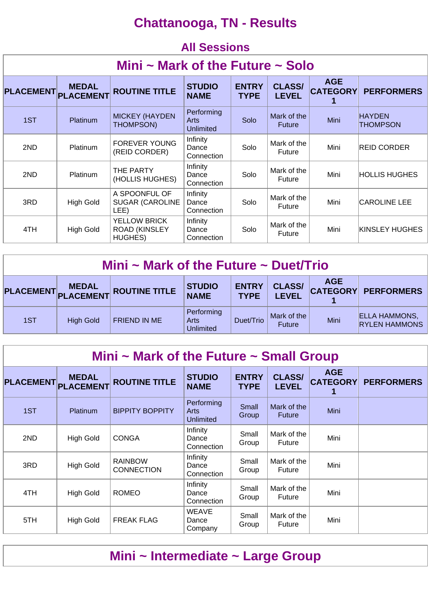## **Chattanooga, TN - Results**

|                                  | <b>All Sessions</b>              |                                                        |                                 |                             |                               |                               |                           |  |  |  |  |
|----------------------------------|----------------------------------|--------------------------------------------------------|---------------------------------|-----------------------------|-------------------------------|-------------------------------|---------------------------|--|--|--|--|
| Mini ~ Mark of the Future ~ Solo |                                  |                                                        |                                 |                             |                               |                               |                           |  |  |  |  |
| <b>PLACEMENT</b>                 | <b>MEDAL</b><br><b>PLACEMENT</b> | <b>ROUTINE TITLE</b>                                   | <b>STUDIO</b><br><b>NAME</b>    | <b>ENTRY</b><br><b>TYPE</b> | <b>CLASS/</b><br><b>LEVEL</b> | <b>AGE</b><br><b>CATEGORY</b> | <b>PERFORMERS</b>         |  |  |  |  |
| 1ST                              | <b>Platinum</b>                  | <b>MICKEY (HAYDEN</b><br>THOMPSON)                     | Performing<br>Arts<br>Unlimited | Solo                        | Mark of the<br><b>Future</b>  | Mini                          | <b>HAYDEN</b><br>THOMPSON |  |  |  |  |
| 2ND                              | <b>Platinum</b>                  | <b>FOREVER YOUNG</b><br>(REID CORDER)                  | Infinity<br>Dance<br>Connection | Solo                        | Mark of the<br>Future         | Mini                          | <b>REID CORDER</b>        |  |  |  |  |
| 2ND                              | <b>Platinum</b>                  | THE PARTY<br>(HOLLIS HUGHES)                           | Infinity<br>Dance<br>Connection | Solo                        | Mark of the<br>Future         | Mini                          | HOLLIS HUGHES             |  |  |  |  |
| 3RD                              | <b>High Gold</b>                 | A SPOONFUL OF<br><b>SUGAR (CAROLINE</b><br>LEE)        | Infinity<br>Dance<br>Connection | Solo                        | Mark of the<br>Future         | Mini                          | <b>CAROLINE LEE</b>       |  |  |  |  |
| 4TH                              | <b>High Gold</b>                 | <b>YELLOW BRICK</b><br><b>ROAD (KINSLEY</b><br>HUGHES) | Infinity<br>Dance<br>Connection | Solo                        | Mark of the<br>Future         | Mini                          | KINSLEY HUGHES            |  |  |  |  |

| Mini ~ Mark of the Future ~ Duet/Trio                                                                                                                                                                      |                  |                     |                                        |           |                              |      |                                              |  |  |
|------------------------------------------------------------------------------------------------------------------------------------------------------------------------------------------------------------|------------------|---------------------|----------------------------------------|-----------|------------------------------|------|----------------------------------------------|--|--|
| <b>AGE</b><br><b>CLASS/</b><br><b>ENTRY</b><br><b>STUDIO</b><br>PLACEMENT MEDAL<br>PLACEMENT PLACEMENT ROUTINE TITLE<br><b>CATEGORY</b><br><b>PERFORMERS</b><br><b>NAME</b><br><b>LEVEL</b><br><b>TYPE</b> |                  |                     |                                        |           |                              |      |                                              |  |  |
| 1ST                                                                                                                                                                                                        | <b>High Gold</b> | <b>FRIEND IN ME</b> | Performing<br>Arts<br><b>Unlimited</b> | Duet/Trio | Mark of the<br><b>Future</b> | Mini | <b>ELLA HAMMONS,</b><br><b>RYLEN HAMMONS</b> |  |  |

| Mini $\sim$ Mark of the Future $\sim$ Small Group |                                  |                                     |                                        |                             |                               |                               |                   |  |  |  |  |
|---------------------------------------------------|----------------------------------|-------------------------------------|----------------------------------------|-----------------------------|-------------------------------|-------------------------------|-------------------|--|--|--|--|
| <b>PLACEMENT</b>                                  | <b>MEDAL</b><br><b>PLACEMENT</b> | <b>ROUTINE TITLE</b>                | <b>STUDIO</b><br><b>NAME</b>           | <b>ENTRY</b><br><b>TYPE</b> | <b>CLASS/</b><br><b>LEVEL</b> | <b>AGE</b><br><b>CATEGORY</b> | <b>PERFORMERS</b> |  |  |  |  |
| 1ST                                               | <b>Platinum</b>                  | <b>BIPPITY BOPPITY</b>              | Performing<br>Arts<br><b>Unlimited</b> | Small<br>Group              | Mark of the<br><b>Future</b>  | Mini                          |                   |  |  |  |  |
| 2ND                                               | <b>High Gold</b>                 | <b>CONGA</b>                        | Infinity<br>Dance<br>Connection        | Small<br>Group              | Mark of the<br><b>Future</b>  | Mini                          |                   |  |  |  |  |
| 3RD                                               | <b>High Gold</b>                 | <b>RAINBOW</b><br><b>CONNECTION</b> | Infinity<br>Dance<br>Connection        | Small<br>Group              | Mark of the<br><b>Future</b>  | Mini                          |                   |  |  |  |  |
| 4TH                                               | <b>High Gold</b>                 | <b>ROMEO</b>                        | Infinity<br>Dance<br>Connection        | Small<br>Group              | Mark of the<br>Future         | Mini                          |                   |  |  |  |  |
| 5TH                                               | <b>High Gold</b>                 | <b>FREAK FLAG</b>                   | <b>WEAVE</b><br>Dance<br>Company       | Small<br>Group              | Mark of the<br>Future         | Mini                          |                   |  |  |  |  |

## **Mini ~ Intermediate ~ Large Group**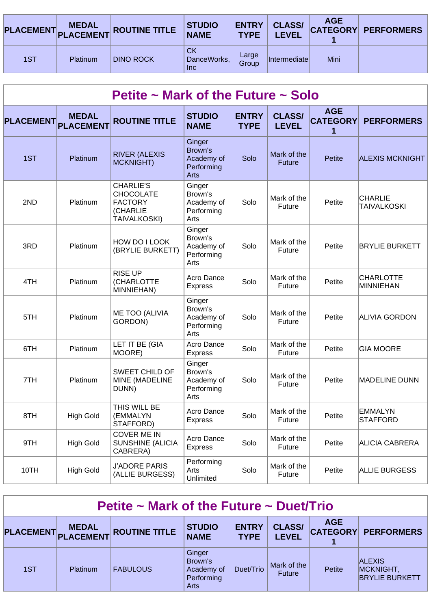|     |          | PLACEMENT MEDAL ROUTINE TITLE | <b>STUDIO</b><br><b>NAME</b>           | <b>ENTRY</b><br><b>TYPE</b> | <b>CLASS/</b><br><b>LEVEL</b> | <b>AGE</b> | <b>CATEGORY PERFORMERS</b> |
|-----|----------|-------------------------------|----------------------------------------|-----------------------------|-------------------------------|------------|----------------------------|
| 1ST | Platinum | <b>DINO ROCK</b>              | <b>CK</b><br>DanceWorks,<br><b>Inc</b> | Large<br>Group              | <b>Intermediatel</b>          | Mini       |                            |

| Petite ~ Mark of the Future ~ Solo |                  |                                                                                           |                                                              |                             |                               |                                    |                                      |  |  |
|------------------------------------|------------------|-------------------------------------------------------------------------------------------|--------------------------------------------------------------|-----------------------------|-------------------------------|------------------------------------|--------------------------------------|--|--|
| <b>PLACEMENT</b> PLACEMENT         | <b>MEDAL</b>     | <b>ROUTINE TITLE</b>                                                                      | <b>STUDIO</b><br><b>NAME</b>                                 | <b>ENTRY</b><br><b>TYPE</b> | <b>CLASS/</b><br><b>LEVEL</b> | <b>AGE</b><br><b>CATEGORY</b><br>1 | <b>PERFORMERS</b>                    |  |  |
| 1ST                                | <b>Platinum</b>  | <b>RIVER (ALEXIS</b><br><b>MCKNIGHT)</b>                                                  | Ginger<br>Brown's<br>Academy of<br>Performing<br><b>Arts</b> | Solo                        | Mark of the<br><b>Future</b>  | <b>Petite</b>                      | <b>ALEXIS MCKNIGHT</b>               |  |  |
| 2ND                                | Platinum         | <b>CHARLIE'S</b><br><b>CHOCOLATE</b><br><b>FACTORY</b><br>(CHARLIE<br><b>TAIVALKOSKI)</b> | Ginger<br>Brown's<br>Academy of<br>Performing<br>Arts        | Solo                        | Mark of the<br>Future         | Petite                             | <b>CHARLIE</b><br><b>TAIVALKOSKI</b> |  |  |
| 3RD                                | Platinum         | HOW DO I LOOK<br>(BRYLIE BURKETT)                                                         | Ginger<br>Brown's<br>Academy of<br>Performing<br>Arts        | Solo                        | Mark of the<br>Future         | Petite                             | <b>BRYLIE BURKETT</b>                |  |  |
| 4TH                                | Platinum         | <b>RISE UP</b><br>(CHARLOTTE<br>MINNIEHAN)                                                | Acro Dance<br><b>Express</b>                                 | Solo                        | Mark of the<br>Future         | Petite                             | <b>CHARLOTTE</b><br>MINNIEHAN        |  |  |
| 5TH                                | Platinum         | ME TOO (ALIVIA<br>GORDON)                                                                 | Ginger<br>Brown's<br>Academy of<br>Performing<br>Arts        | Solo                        | Mark of the<br>Future         | Petite                             | <b>ALIVIA GORDON</b>                 |  |  |
| 6TH                                | Platinum         | LET IT BE (GIA<br>MOORE)                                                                  | Acro Dance<br><b>Express</b>                                 | Solo                        | Mark of the<br>Future         | Petite                             | <b>GIA MOORE</b>                     |  |  |
| 7TH                                | Platinum         | <b>SWEET CHILD OF</b><br>MINE (MADELINE<br>DUNN)                                          | Ginger<br>Brown's<br>Academy of<br>Performing<br>Arts        | Solo                        | Mark of the<br>Future         | Petite                             | <b>MADELINE DUNN</b>                 |  |  |
| 8TH                                | <b>High Gold</b> | THIS WILL BE<br>(EMMALYN<br>STAFFORD)                                                     | Acro Dance<br><b>Express</b>                                 | Solo                        | Mark of the<br>Future         | Petite                             | <b>EMMALYN</b><br><b>STAFFORD</b>    |  |  |
| 9TH                                | <b>High Gold</b> | <b>COVER ME IN</b><br>SUNSHINE (ALICIA<br>CABRERA)                                        | Acro Dance<br><b>Express</b>                                 | Solo                        | Mark of the<br>Future         | Petite                             | <b>ALICIA CABRERA</b>                |  |  |
| 10TH                               | <b>High Gold</b> | <b>J'ADORE PARIS</b><br>(ALLIE BURGESS)                                                   | Performing<br>Arts<br>Unlimited                              | Solo                        | Mark of the<br>Future         | Petite                             | <b>ALLIE BURGESS</b>                 |  |  |

| Petite $\sim$ Mark of the Future $\sim$ Duet/Trio                                                                                                                                                       |          |                 |                                                       |           |                              |        |                                                     |  |  |  |
|---------------------------------------------------------------------------------------------------------------------------------------------------------------------------------------------------------|----------|-----------------|-------------------------------------------------------|-----------|------------------------------|--------|-----------------------------------------------------|--|--|--|
| <b>AGE</b><br><b>CLASS/</b><br><b>ENTRY</b><br><b>STUDIO</b><br><b>MEDAL</b><br>PLACEMENT PLACEMENT ROUTINE TITLE<br><b>CATEGORY</b><br><b>PERFORMERS</b><br><b>LEVEL</b><br><b>NAME</b><br><b>TYPE</b> |          |                 |                                                       |           |                              |        |                                                     |  |  |  |
| 1ST                                                                                                                                                                                                     | Platinum | <b>FABULOUS</b> | Ginger<br>Brown's<br>Academy of<br>Performing<br>Arts | Duet/Trio | Mark of the<br><b>Future</b> | Petite | <b>ALEXIS</b><br>MCKNIGHT,<br><b>BRYLIE BURKETT</b> |  |  |  |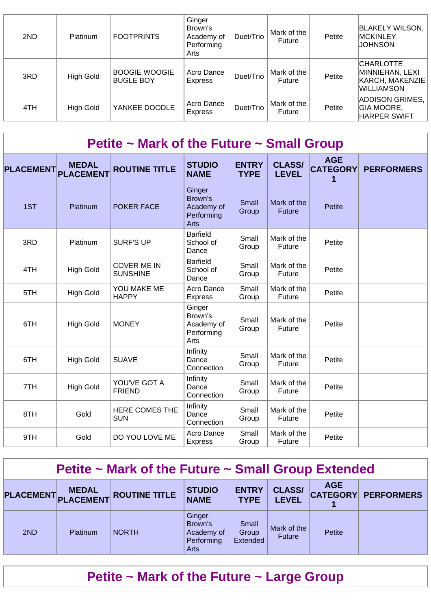| 2ND | <b>Platinum</b>  | <b>FOOTPRINTS</b>                        | Ginger<br>Brown's<br>Academy of<br>Performing<br>Arts | Duet/Trio | Mark of the<br>Future        | Petite | <b>BLAKELY WILSON,</b><br><b>MCKINLEY</b><br>JOHNSON                        |
|-----|------------------|------------------------------------------|-------------------------------------------------------|-----------|------------------------------|--------|-----------------------------------------------------------------------------|
| 3RD | High Gold        | <b>BOOGIE WOOGIE</b><br><b>BUGLE BOY</b> | Acro Dance<br>Express                                 | Duet/Trio | Mark of the<br><b>Future</b> | Petite | <b>CHARLOTTE</b><br>MINNIEHAN, LEXI<br>KARCH, MAKENZIE<br><b>WILLIAMSON</b> |
| 4TH | <b>High Gold</b> | YANKEE DOODLE                            | Acro Dance<br>Express                                 | Duet/Trio | Mark of the<br><b>Future</b> | Petite | ADDISON GRIMES,<br><b>GIA MOORE,</b><br><b>HARPER SWIFT</b>                 |

#### **Petite ~ Mark of the Future ~ Small Group**

| <b>PLACEMENT</b> | <b>MEDAL</b><br><b>PLACEMENT</b> | <b>ROUTINE TITLE</b>                  | <b>STUDIO</b><br><b>NAME</b>                                 | <b>ENTRY</b><br><b>TYPE</b> | <b>CLASS/</b><br><b>LEVEL</b> | <b>AGE</b><br><b>CATEGORY</b> | <b>PERFORMERS</b> |
|------------------|----------------------------------|---------------------------------------|--------------------------------------------------------------|-----------------------------|-------------------------------|-------------------------------|-------------------|
| 1ST              | Platinum                         | <b>POKER FACE</b>                     | Ginger<br>Brown's<br>Academy of<br>Performing<br><b>Arts</b> | Small<br>Group              | Mark of the<br><b>Future</b>  | <b>Petite</b>                 |                   |
| 3RD              | Platinum                         | <b>SURF'S UP</b>                      | <b>Barfield</b><br>School of<br>Dance                        | Small<br>Group              | Mark of the<br>Future         | Petite                        |                   |
| 4TH              | <b>High Gold</b>                 | <b>COVER ME IN</b><br><b>SUNSHINE</b> | <b>Barfield</b><br>School of<br>Dance                        | Small<br>Group              | Mark of the<br>Future         | Petite                        |                   |
| 5TH              | <b>High Gold</b>                 | YOU MAKE ME<br><b>HAPPY</b>           | Acro Dance<br><b>Express</b>                                 | Small<br>Group              | Mark of the<br>Future         | Petite                        |                   |
| 6TH              | <b>High Gold</b>                 | <b>MONEY</b>                          | Ginger<br>Brown's<br>Academy of<br>Performing<br>Arts        | Small<br>Group              | Mark of the<br>Future         | Petite                        |                   |
| 6TH              | <b>High Gold</b>                 | <b>SUAVE</b>                          | Infinity<br>Dance<br>Connection                              | Small<br>Group              | Mark of the<br>Future         | Petite                        |                   |
| 7TH              | <b>High Gold</b>                 | YOU'VE GOT A<br><b>FRIEND</b>         | Infinity<br>Dance<br>Connection                              | Small<br>Group              | Mark of the<br>Future         | Petite                        |                   |
| 8TH              | Gold                             | <b>HERE COMES THE</b><br><b>SUN</b>   | Infinity<br>Dance<br>Connection                              | Small<br>Group              | Mark of the<br>Future         | Petite                        |                   |
| 9TH              | Gold                             | DO YOU LOVE ME                        | Acro Dance<br><b>Express</b>                                 | Small<br>Group              | Mark of the<br>Future         | Petite                        |                   |

#### **Petite ~ Mark of the Future ~ Small Group Extended**

|     | <b>MEDAL</b> | PLACEMENT PLACEMENT ROUTINE TITLE | <b>STUDIO</b><br><b>NAME</b>                          | <b>ENTRY</b><br><b>TYPE</b> | <b>CLASS/</b><br><b>LEVEL</b> | <b>AGE</b> | <b>CATEGORY PERFORMERS</b> |
|-----|--------------|-----------------------------------|-------------------------------------------------------|-----------------------------|-------------------------------|------------|----------------------------|
| 2ND | Platinum     | <b>NORTH</b>                      | Ginger<br>Brown's<br>Academy of<br>Performing<br>Arts | Small<br>Group<br>Extended  | Mark of the<br><b>Future</b>  | Petite     |                            |

# **Petite ~ Mark of the Future ~ Large Group**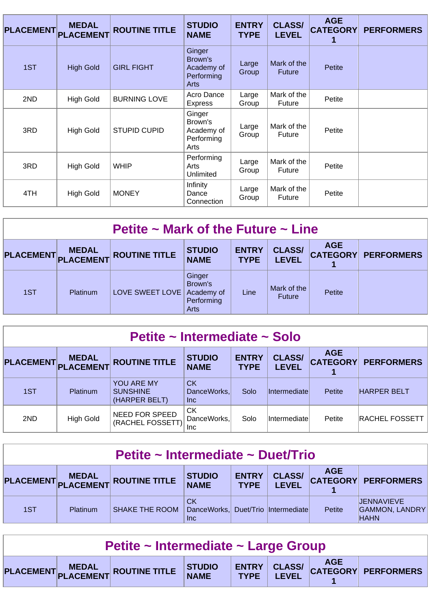| <b>PLACEMENT</b> | <b>MEDAL</b><br><b>PLACEMENT</b> | <b>ROUTINE TITLE</b> | <b>STUDIO</b><br><b>NAME</b>                          | <b>ENTRY</b><br><b>TYPE</b> | <b>CLASS/</b><br><b>LEVEL</b> | <b>AGE</b><br><b>CATEGORY</b><br>1 | <b>PERFORMERS</b> |
|------------------|----------------------------------|----------------------|-------------------------------------------------------|-----------------------------|-------------------------------|------------------------------------|-------------------|
| 1ST              | <b>High Gold</b>                 | <b>GIRL FIGHT</b>    | Ginger<br>Brown's<br>Academy of<br>Performing<br>Arts | Large<br>Group              | Mark of the<br><b>Future</b>  | Petite                             |                   |
| 2ND              | <b>High Gold</b>                 | <b>BURNING LOVE</b>  | Acro Dance<br><b>Express</b>                          | Large<br>Group              | Mark of the<br><b>Future</b>  | Petite                             |                   |
| 3RD              | <b>High Gold</b>                 | <b>STUPID CUPID</b>  | Ginger<br>Brown's<br>Academy of<br>Performing<br>Arts | Large<br>Group              | Mark of the<br>Future         | Petite                             |                   |
| 3RD              | <b>High Gold</b>                 | <b>WHIP</b>          | Performing<br>Arts<br>Unlimited                       | Large<br>Group              | Mark of the<br>Future         | Petite                             |                   |
| 4TH              | <b>High Gold</b>                 | <b>MONEY</b>         | Infinity<br>Dance<br>Connection                       | Large<br>Group              | Mark of the<br>Future         | Petite                             |                   |

| Petite $\sim$ Mark of the Future $\sim$ Line |                 |                                   |                                                              |                             |                               |            |                            |  |  |  |
|----------------------------------------------|-----------------|-----------------------------------|--------------------------------------------------------------|-----------------------------|-------------------------------|------------|----------------------------|--|--|--|
|                                              | <b>MEDAL</b>    | PLACEMENT PLACEMENT ROUTINE TITLE | <b>STUDIO</b><br><b>NAME</b>                                 | <b>ENTRY</b><br><b>TYPE</b> | <b>CLASS/</b><br><b>LEVEL</b> | <b>AGE</b> | <b>CATEGORY PERFORMERS</b> |  |  |  |
| 1ST                                          | <b>Platinum</b> | LOVE SWEET LOVE                   | Ginger<br>Brown's<br>Academy of<br>Performing<br><b>Arts</b> | Line                        | Mark of the<br><b>Future</b>  | Petite     |                            |  |  |  |

| Petite ~ Intermediate ~ Solo |                           |                                                |                                  |                             |                               |                               |                       |  |  |  |
|------------------------------|---------------------------|------------------------------------------------|----------------------------------|-----------------------------|-------------------------------|-------------------------------|-----------------------|--|--|--|
| <b>PLACEMENT</b>             | <b>MEDAL</b><br>PLACEMENT | <b>ROUTINE TITLE</b>                           | <b>STUDIO</b><br><b>NAME</b>     | <b>ENTRY</b><br><b>TYPE</b> | <b>CLASS/</b><br><b>LEVEL</b> | <b>AGE</b><br><b>CATEGORY</b> | <b>PERFORMERS</b>     |  |  |  |
| 1ST                          | Platinum                  | YOU ARE MY<br><b>SUNSHINE</b><br>(HARPER BELT) | <b>CK</b><br>DanceWorks,<br>Inc. | Solo                        | Intermediate                  | Petite                        | <b>HARPER BELT</b>    |  |  |  |
| 2ND                          | High Gold                 | <b>NEED FOR SPEED</b><br>(RACHEL FOSSETT)      | <b>CK</b><br>DanceWorks,<br>Inc. | Solo                        | lIntermediate                 | Petite                        | <b>RACHEL FOSSETT</b> |  |  |  |

| Petite ~ Intermediate ~ Duet/Trio                                                                                                                                                             |          |                |                                                                 |  |  |        |                                                     |  |
|-----------------------------------------------------------------------------------------------------------------------------------------------------------------------------------------------|----------|----------------|-----------------------------------------------------------------|--|--|--------|-----------------------------------------------------|--|
| <b>AGE</b><br><b>CLASS/</b><br><b>STUDIO</b><br><b>ENTRY</b><br><b>MEDAL</b><br>PLACEMENT PLACEMENT ROUTINE TITLE<br><b>CATEGORY PERFORMERS</b><br><b>LEVEL</b><br><b>NAME</b><br><b>TYPE</b> |          |                |                                                                 |  |  |        |                                                     |  |
| 1ST                                                                                                                                                                                           | Platinum | SHAKE THE ROOM | <b>CK</b><br>DanceWorks, Duet/Trio  Intermediate <br><b>Inc</b> |  |  | Petite | IJENNAVIEVE<br><b>GAMMON, LANDRY</b><br><b>HAHN</b> |  |

| Petite ~ Intermediate ~ Large Group |  |                                                                       |  |  |  |  |  |  |
|-------------------------------------|--|-----------------------------------------------------------------------|--|--|--|--|--|--|
|                                     |  | PLACEMENT MEDAL ROUTINE TITLE STUDIO ENTRY CLASS/ CATEGORY PERFORMERS |  |  |  |  |  |  |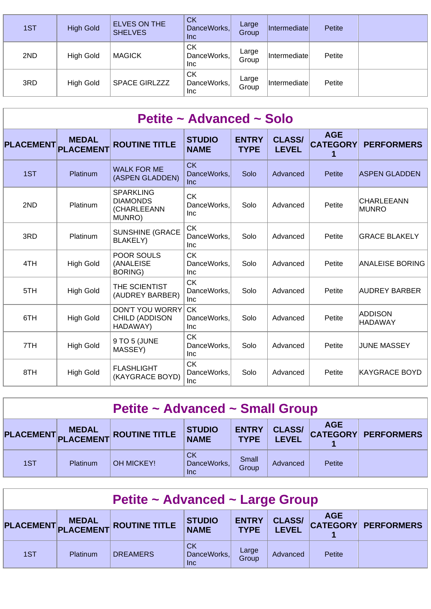| 1ST | <b>High Gold</b> | <b>ELVES ON THE</b><br><b>SHELVES</b> | <b>CK</b><br>DanceWorks,<br><b>Inc</b> | Large<br>Group | <i>Intermediatel</i>        | Petite |  |
|-----|------------------|---------------------------------------|----------------------------------------|----------------|-----------------------------|--------|--|
| 2ND | <b>High Gold</b> | <b>MAGICK</b>                         | СK<br>DanceWorks,<br>Inc               | Large<br>Group | Intermediate                | Petite |  |
| 3RD | <b>High Gold</b> | <b>SPACE GIRLZZZ</b>                  | СK<br>DanceWorks,<br>Inc               | Large<br>Group | <i><b>Intermediatel</b></i> | Petite |  |

| Petite ~ Advanced ~ Solo |                                  |                                                              |                                        |                             |                               |                                    |                                   |  |  |  |  |
|--------------------------|----------------------------------|--------------------------------------------------------------|----------------------------------------|-----------------------------|-------------------------------|------------------------------------|-----------------------------------|--|--|--|--|
| <b>PLACEMENT</b>         | <b>MEDAL</b><br><b>PLACEMENT</b> | <b>ROUTINE TITLE</b>                                         | <b>STUDIO</b><br><b>NAME</b>           | <b>ENTRY</b><br><b>TYPE</b> | <b>CLASS/</b><br><b>LEVEL</b> | <b>AGE</b><br><b>CATEGORY</b><br>1 | <b>PERFORMERS</b>                 |  |  |  |  |
| 1ST                      | Platinum                         | <b>WALK FOR ME</b><br>(ASPEN GLADDEN)                        | <b>CK</b><br>DanceWorks,<br><b>Inc</b> | Solo                        | Advanced                      | Petite                             | <b>ASPEN GLADDEN</b>              |  |  |  |  |
| 2ND                      | Platinum                         | <b>SPARKLING</b><br><b>DIAMONDS</b><br>(CHARLEEANN<br>MUNRO) | <b>CK</b><br>DanceWorks.<br><b>Inc</b> | Solo                        | Advanced                      | Petite                             | <b>CHARLEEANN</b><br><b>MUNRO</b> |  |  |  |  |
| 3RD                      | Platinum                         | <b>SUNSHINE (GRACE</b><br><b>BLAKELY)</b>                    | <b>CK</b><br>DanceWorks,<br><b>Inc</b> | Solo                        | Advanced                      | Petite                             | <b>GRACE BLAKELY</b>              |  |  |  |  |
| 4TH                      | <b>High Gold</b>                 | POOR SOULS<br>(ANALEISE<br><b>BORING)</b>                    | <b>CK</b><br>DanceWorks.<br>Inc        | Solo                        | Advanced                      | Petite                             | <b>ANALEISE BORING</b>            |  |  |  |  |
| 5TH                      | <b>High Gold</b>                 | THE SCIENTIST<br>(AUDREY BARBER)                             | <b>CK</b><br>DanceWorks.<br><b>Inc</b> | Solo                        | Advanced                      | Petite                             | AUDREY BARBER                     |  |  |  |  |
| 6TH                      | <b>High Gold</b>                 | <b>DON'T YOU WORRY</b><br>CHILD (ADDISON<br>HADAWAY)         | <b>CK</b><br>DanceWorks,<br><b>Inc</b> | Solo                        | Advanced                      | Petite                             | ADDISON<br><b>HADAWAY</b>         |  |  |  |  |
| 7TH                      | <b>High Gold</b>                 | 9 TO 5 (JUNE<br>MASSEY)                                      | <b>CK</b><br>DanceWorks.<br><b>Inc</b> | Solo                        | Advanced                      | Petite                             | JUNE MASSEY                       |  |  |  |  |
| 8TH                      | <b>High Gold</b>                 | <b>FLASHLIGHT</b><br>(KAYGRACE BOYD)                         | <b>CK</b><br>DanceWorks,<br><b>Inc</b> | Solo                        | Advanced                      | Petite                             | KAYGRACE BOYD                     |  |  |  |  |

| <b>Petite ~ Advanced ~ Small Group</b>                                                                                                                                          |          |                   |                                 |                |          |        |  |  |  |
|---------------------------------------------------------------------------------------------------------------------------------------------------------------------------------|----------|-------------------|---------------------------------|----------------|----------|--------|--|--|--|
| <b>AGE</b><br><b>CLASS/</b><br><b>ENTRY</b><br><b>STUDIO</b><br>PLACEMENT MEDAL<br>PLACEMENT ROUTINE TITLE<br>CATEGORY PERFORMERS<br><b>NAME</b><br><b>TYPE</b><br><b>LEVEL</b> |          |                   |                                 |                |          |        |  |  |  |
| 1ST                                                                                                                                                                             | Platinum | <b>OH MICKEY!</b> | CK<br>DanceWorks,<br><b>Inc</b> | Small<br>Group | Advanced | Petite |  |  |  |

| Petite ~ Advanced ~ Large Group                                                                                                                                                 |          |                 |                                        |                |          |        |  |  |  |
|---------------------------------------------------------------------------------------------------------------------------------------------------------------------------------|----------|-----------------|----------------------------------------|----------------|----------|--------|--|--|--|
| <b>AGE</b><br><b>CLASS/</b><br><b>ENTRY</b><br><b>STUDIO</b><br>PLACEMENT MEDAL<br>PLACEMENT ROUTINE TITLE<br><b>CATEGORY PERFORMERS</b><br><b>NAME</b><br><b>TYPE</b><br>LEVEL |          |                 |                                        |                |          |        |  |  |  |
| 1ST                                                                                                                                                                             | Platinum | <b>DREAMERS</b> | <b>CK</b><br>DanceWorks,<br><b>Inc</b> | Large<br>Group | Advanced | Petite |  |  |  |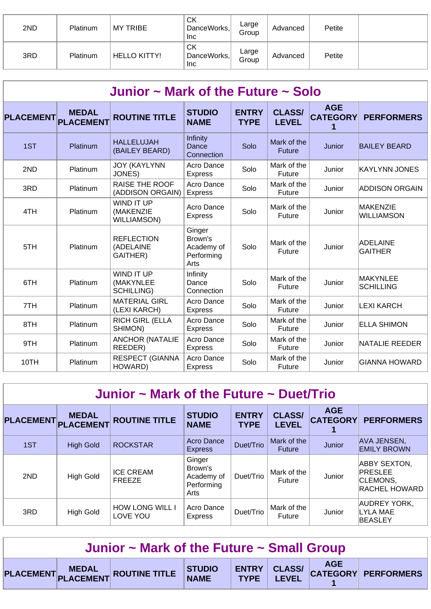| 2ND | Platinum | <b>MY TRIBE</b>     | <b>CK</b><br>DanceWorks,<br><b>Inc</b> | Large<br>Group | Advanced | Petite |  |
|-----|----------|---------------------|----------------------------------------|----------------|----------|--------|--|
| 3RD | Platinum | <b>HELLO KITTY!</b> | <b>CK</b><br>DanceWorks,<br>Inc        | Large<br>Group | Advanced | Petite |  |

| Junior $\sim$ Mark of the Future $\sim$ Solo |                                  |                                                     |                                                       |                             |                               |                               |                                   |  |  |  |  |
|----------------------------------------------|----------------------------------|-----------------------------------------------------|-------------------------------------------------------|-----------------------------|-------------------------------|-------------------------------|-----------------------------------|--|--|--|--|
| <b>PLACEMENT</b>                             | <b>MEDAL</b><br><b>PLACEMENT</b> | <b>ROUTINE TITLE</b>                                | <b>STUDIO</b><br><b>NAME</b>                          | <b>ENTRY</b><br><b>TYPE</b> | <b>CLASS/</b><br><b>LEVEL</b> | <b>AGE</b><br><b>CATEGORY</b> | <b>PERFORMERS</b>                 |  |  |  |  |
| 1ST                                          | Platinum                         | <b>HALLELUJAH</b><br>(BAILEY BEARD)                 | Infinity<br>Dance<br>Connection                       | Solo                        | Mark of the<br><b>Future</b>  | Junior                        | <b>BAILEY BEARD</b>               |  |  |  |  |
| 2ND                                          | Platinum                         | <b>JOY (KAYLYNN</b><br>JONES)                       | Acro Dance<br><b>Express</b>                          | Solo                        | Mark of the<br>Future         | Junior                        | <b>KAYLYNN JONES</b>              |  |  |  |  |
| 3RD                                          | Platinum                         | RAISE THE ROOF<br>(ADDISON ORGAIN)                  | Acro Dance<br><b>Express</b>                          | Solo                        | Mark of the<br>Future         | Junior                        | <b>ADDISON ORGAIN</b>             |  |  |  |  |
| 4TH                                          | Platinum                         | WIND IT UP<br>(MAKENZIE<br><b>WILLIAMSON)</b>       | Acro Dance<br><b>Express</b>                          | Solo                        | Mark of the<br>Future         | Junior                        | MAKENZIE<br><b>WILLIAMSON</b>     |  |  |  |  |
| 5TH                                          | Platinum                         | <b>REFLECTION</b><br>(ADELAINE<br>GAITHER)          | Ginger<br>Brown's<br>Academy of<br>Performing<br>Arts | Solo                        | Mark of the<br>Future         | Junior                        | <b>ADELAINE</b><br><b>GAITHER</b> |  |  |  |  |
| 6TH                                          | Platinum                         | <b>WIND IT UP</b><br>(MAKYNLEE<br><b>SCHILLING)</b> | Infinity<br>Dance<br>Connection                       | Solo                        | Mark of the<br>Future         | Junior                        | MAKYNLEE<br><b>SCHILLING</b>      |  |  |  |  |
| 7TH                                          | Platinum                         | <b>MATERIAL GIRL</b><br>(LEXI KARCH)                | Acro Dance<br><b>Express</b>                          | Solo                        | Mark of the<br>Future         | Junior                        | <b>LEXI KARCH</b>                 |  |  |  |  |
| 8TH                                          | Platinum                         | <b>RICH GIRL (ELLA</b><br>SHIMON)                   | Acro Dance<br><b>Express</b>                          | Solo                        | Mark of the<br>Future         | Junior                        | <b>ELLA SHIMON</b>                |  |  |  |  |
| 9TH                                          | Platinum                         | <b>ANCHOR (NATALIE</b><br>REEDER)                   | Acro Dance<br><b>Express</b>                          | Solo                        | Mark of the<br>Future         | Junior                        | NATALIE REEDER                    |  |  |  |  |
| 10TH                                         | <b>Platinum</b>                  | <b>RESPECT (GIANNA</b><br>HOWARD)                   | Acro Dance<br><b>Express</b>                          | Solo                        | Mark of the<br><b>Future</b>  | Junior                        | <b>GIANNA HOWARD</b>              |  |  |  |  |

| Junior $\sim$ Mark of the Future $\sim$ Duet/Trio |                                  |                                    |                                                       |                             |                               |                                    |                                                                           |  |  |  |  |
|---------------------------------------------------|----------------------------------|------------------------------------|-------------------------------------------------------|-----------------------------|-------------------------------|------------------------------------|---------------------------------------------------------------------------|--|--|--|--|
| <b>PLACEMENT</b>                                  | <b>MEDAL</b><br><b>PLACEMENT</b> | <b>ROUTINE TITLE</b>               | <b>STUDIO</b><br><b>NAME</b>                          | <b>ENTRY</b><br><b>TYPE</b> | <b>CLASS/</b><br><b>LEVEL</b> | <b>AGE</b><br><b>CATEGORY</b><br>1 | <b>PERFORMERS</b>                                                         |  |  |  |  |
| 1ST                                               | <b>High Gold</b>                 | <b>ROCKSTAR</b>                    | Acro Dance<br><b>Express</b>                          | Duet/Trio                   | Mark of the<br><b>Future</b>  | Junior                             | <b>AVA JENSEN,</b><br><b>EMILY BROWN</b>                                  |  |  |  |  |
| 2ND                                               | <b>High Gold</b>                 | <b>ICE CREAM</b><br><b>FREEZE</b>  | Ginger<br>Brown's<br>Academy of<br>Performing<br>Arts | Duet/Trio                   | Mark of the<br>Future         | Junior                             | <b>ABBY SEXTON,</b><br><b>PRESLEE</b><br>CLEMONS,<br><b>RACHEL HOWARD</b> |  |  |  |  |
| 3RD                                               | <b>High Gold</b>                 | <b>HOW LONG WILL I</b><br>LOVE YOU | Acro Dance<br><b>Express</b>                          | Duet/Trio                   | Mark of the<br>Future         | Junior                             | AUDREY YORK,<br>LYLA MAE<br><b>BEASLEY</b>                                |  |  |  |  |

| Junior $\sim$ Mark of the Future $\sim$ Small Group |  |                                                                       |  |  |  |  |  |  |  |
|-----------------------------------------------------|--|-----------------------------------------------------------------------|--|--|--|--|--|--|--|
|                                                     |  | VLACEMENT MEDAL ROUTINE TITLE STUDIO ENTRY CLASS/ CATEGORY PERFORMERS |  |  |  |  |  |  |  |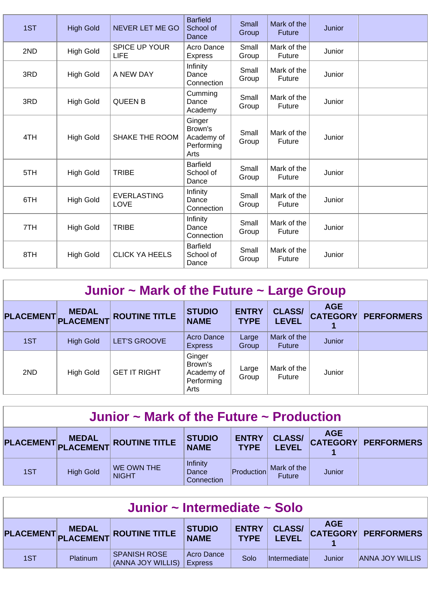| 1ST | <b>High Gold</b> | NEVER LET ME GO              | <b>Barfield</b><br>School of<br>Dance                 | <b>Small</b><br>Group | Mark of the<br><b>Future</b> | Junior |  |
|-----|------------------|------------------------------|-------------------------------------------------------|-----------------------|------------------------------|--------|--|
| 2ND | <b>High Gold</b> | <b>SPICE UP YOUR</b><br>LIFE | Acro Dance<br><b>Express</b>                          | Small<br>Group        | Mark of the<br>Future        | Junior |  |
| 3RD | <b>High Gold</b> | A NEW DAY                    | Infinity<br>Dance<br>Connection                       | Small<br>Group        | Mark of the<br>Future        | Junior |  |
| 3RD | <b>High Gold</b> | <b>QUEEN B</b>               | Cumming<br>Dance<br>Academy                           | Small<br>Group        | Mark of the<br>Future        | Junior |  |
| 4TH | <b>High Gold</b> | <b>SHAKE THE ROOM</b>        | Ginger<br>Brown's<br>Academy of<br>Performing<br>Arts | Small<br>Group        | Mark of the<br>Future        | Junior |  |
| 5TH | <b>High Gold</b> | <b>TRIBE</b>                 | <b>Barfield</b><br>School of<br>Dance                 | Small<br>Group        | Mark of the<br>Future        | Junior |  |
| 6TH | <b>High Gold</b> | <b>EVERLASTING</b><br>LOVE   | Infinity<br>Dance<br>Connection                       | Small<br>Group        | Mark of the<br>Future        | Junior |  |
| 7TH | <b>High Gold</b> | <b>TRIBE</b>                 | Infinity<br>Dance<br>Connection                       | Small<br>Group        | Mark of the<br>Future        | Junior |  |
| 8TH | <b>High Gold</b> | <b>CLICK YA HEELS</b>        | <b>Barfield</b><br>School of<br>Dance                 | Small<br>Group        | Mark of the<br>Future        | Junior |  |

| Junior $\sim$ Mark of the Future $\sim$ Large Group |                  |                      |                                                       |                             |                               |            |                            |  |  |  |
|-----------------------------------------------------|------------------|----------------------|-------------------------------------------------------|-----------------------------|-------------------------------|------------|----------------------------|--|--|--|
| PLACEMENT PLACEMENT                                 | <b>MEDAL</b>     | <b>ROUTINE TITLE</b> | <b>STUDIO</b><br><b>NAME</b>                          | <b>ENTRY</b><br><b>TYPE</b> | <b>CLASS/</b><br><b>LEVEL</b> | <b>AGE</b> | <b>CATEGORY PERFORMERS</b> |  |  |  |
| 1ST                                                 | <b>High Gold</b> | <b>LET'S GROOVE</b>  | Acro Dance<br><b>Express</b>                          | Large<br>Group              | Mark of the<br><b>Future</b>  | Junior     |                            |  |  |  |
| 2ND                                                 | <b>High Gold</b> | <b>GET IT RIGHT</b>  | Ginger<br>Brown's<br>Academy of<br>Performing<br>Arts | Large<br>Group              | Mark of the<br>Future         | Junior     |                            |  |  |  |

| Junior $\sim$ Mark of the Future $\sim$ Production |                  |                                            |                                        |                             |                               |            |                     |  |  |
|----------------------------------------------------|------------------|--------------------------------------------|----------------------------------------|-----------------------------|-------------------------------|------------|---------------------|--|--|
|                                                    |                  | PLACEMENT MEDAL<br>PLACEMENT ROUTINE TITLE | <b>STUDIO</b><br><b>NAME</b>           | <b>ENTRY</b><br><b>TYPE</b> | <b>CLASS/</b><br><b>LEVEL</b> | <b>AGE</b> | CATEGORY PERFORMERS |  |  |
| 1ST                                                | <b>High Gold</b> | WE OWN THE<br><b>NIGHT</b>                 | <b>Infinity</b><br>Dance<br>Connection | Production                  | Mark of the<br><b>Future</b>  | Junior     |                     |  |  |

| Junior ~ Intermediate ~ Solo |          |                                          |                              |                             |                               |            |                        |  |  |
|------------------------------|----------|------------------------------------------|------------------------------|-----------------------------|-------------------------------|------------|------------------------|--|--|
|                              |          | PLACEMENT MEDAL ROUTINE TITLE            | <b>STUDIO</b><br>NAME        | <b>ENTRY</b><br><b>TYPE</b> | <b>CLASS/</b><br><b>LEVEL</b> | <b>AGE</b> | CATEGORY PERFORMERS    |  |  |
| 1ST                          | Platinum | <b>SPANISH ROSE</b><br>(ANNA JOY WILLIS) | Acro Dance<br><b>Express</b> | Solo                        | <i>Intermediatel</i>          | Junior     | <b>ANNA JOY WILLIS</b> |  |  |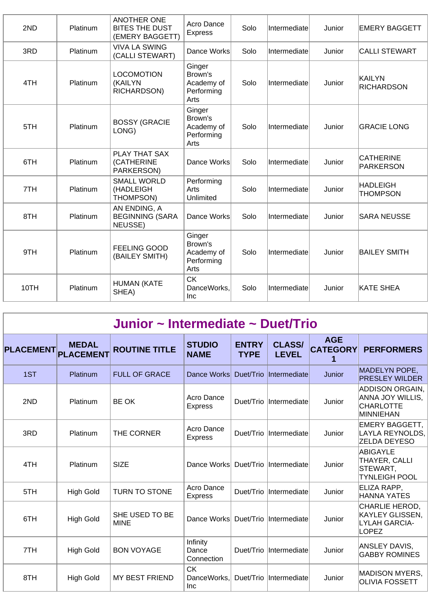| 2ND  | Platinum | <b>ANOTHER ONE</b><br><b>BITES THE DUST</b><br>(EMERY BAGGETT) | Acro Dance<br><b>Express</b>                          | Solo | Intermediate | Junior | <b>EMERY BAGGETT</b>               |
|------|----------|----------------------------------------------------------------|-------------------------------------------------------|------|--------------|--------|------------------------------------|
| 3RD  | Platinum | <b>VIVA LA SWING</b><br>(CALLI STEWART)                        | Dance Works                                           | Solo | Intermediate | Junior | <b>CALLI STEWART</b>               |
| 4TH  | Platinum | <b>LOCOMOTION</b><br>(KAILYN<br>RICHARDSON)                    | Ginger<br>Brown's<br>Academy of<br>Performing<br>Arts | Solo | Intermediate | Junior | KAILYN<br><b>RICHARDSON</b>        |
| 5TH  | Platinum | <b>BOSSY (GRACIE</b><br>LONG)                                  | Ginger<br>Brown's<br>Academy of<br>Performing<br>Arts | Solo | Intermediate | Junior | <b>GRACIE LONG</b>                 |
| 6TH  | Platinum | PLAY THAT SAX<br>(CATHERINE<br>PARKERSON)                      | Dance Works                                           | Solo | Intermediate | Junior | <b>CATHERINE</b><br>PARKERSON      |
| 7TH  | Platinum | <b>SMALL WORLD</b><br>(HADLEIGH<br>THOMPSON)                   | Performing<br>Arts<br>Unlimited                       | Solo | Intermediate | Junior | <b>HADLEIGH</b><br><b>THOMPSON</b> |
| 8TH  | Platinum | AN ENDING, A<br><b>BEGINNING (SARA</b><br>NEUSSE)              | Dance Works                                           | Solo | Intermediate | Junior | <b>SARA NEUSSE</b>                 |
| 9TH  | Platinum | <b>FEELING GOOD</b><br>(BAILEY SMITH)                          | Ginger<br>Brown's<br>Academy of<br>Performing<br>Arts | Solo | Intermediate | Junior | <b>BAILEY SMITH</b>                |
| 10TH | Platinum | <b>HUMAN (KATE</b><br>SHEA)                                    | <b>CK</b><br>DanceWorks,<br><b>Inc</b>                | Solo | Intermediate | Junior | KATE SHEA                          |

| Junior ~ Intermediate ~ Duet/Trio |                                  |                               |                                        |                             |                               |                                    |                                                                                    |  |  |  |
|-----------------------------------|----------------------------------|-------------------------------|----------------------------------------|-----------------------------|-------------------------------|------------------------------------|------------------------------------------------------------------------------------|--|--|--|
| <b>PLACEMENT</b>                  | <b>MEDAL</b><br><b>PLACEMENT</b> | <b>ROUTINE TITLE</b>          | <b>STUDIO</b><br><b>NAME</b>           | <b>ENTRY</b><br><b>TYPE</b> | <b>CLASS/</b><br><b>LEVEL</b> | <b>AGE</b><br><b>CATEGORY</b><br>1 | <b>PERFORMERS</b>                                                                  |  |  |  |
| 1ST                               | Platinum                         | <b>FULL OF GRACE</b>          | Dance Works                            | Duet/Trio                   | Intermediate                  | Junior                             | MADELYN POPE,<br><b>PRESLEY WILDER</b>                                             |  |  |  |
| 2ND                               | Platinum                         | <b>BE OK</b>                  | Acro Dance<br><b>Express</b>           | Duet/Trio                   | Intermediate                  | Junior                             | <b>ADDISON ORGAIN,</b><br>ANNA JOY WILLIS,<br><b>CHARLOTTE</b><br><b>MINNIEHAN</b> |  |  |  |
| 3RD                               | Platinum                         | THE CORNER                    | Acro Dance<br><b>Express</b>           | Duet/Trio                   | Intermediate                  | Junior                             | <b>EMERY BAGGETT,</b><br>LAYLA REYNOLDS,<br><b>ZELDA DEYESO</b>                    |  |  |  |
| 4TH                               | Platinum                         | <b>SIZE</b>                   | Dance Works                            | Duet/Trio                   | Intermediate                  | Junior                             | <b>ABIGAYLE</b><br>THAYER, CALLI<br>STEWART,<br><b>TYNLEIGH POOL</b>               |  |  |  |
| 5TH                               | <b>High Gold</b>                 | <b>TURN TO STONE</b>          | Acro Dance<br><b>Express</b>           | Duet/Trio                   | Intermediate                  | Junior                             | ELIZA RAPP.<br><b>HANNA YATES</b>                                                  |  |  |  |
| 6TH                               | <b>High Gold</b>                 | SHE USED TO BE<br><b>MINE</b> | Dance Works                            | Duet/Trio                   | Intermediate                  | Junior                             | CHARLIE HEROD,<br><b>KAYLEY GLISSEN,</b><br><b>LYLAH GARCIA-</b><br><b>LOPEZ</b>   |  |  |  |
| 7TH                               | <b>High Gold</b>                 | <b>BON VOYAGE</b>             | Infinity<br>Dance<br>Connection        | Duet/Trio                   | Intermediate                  | Junior                             | ANSLEY DAVIS,<br><b>GABBY ROMINES</b>                                              |  |  |  |
| 8TH                               | <b>High Gold</b>                 | <b>MY BEST FRIEND</b>         | <b>CK</b><br>DanceWorks.<br><b>Inc</b> | Duet/Trio                   | <i>l</i> Intermediate         | Junior                             | MADISON MYERS,<br><b>OLIVIA FOSSETT</b>                                            |  |  |  |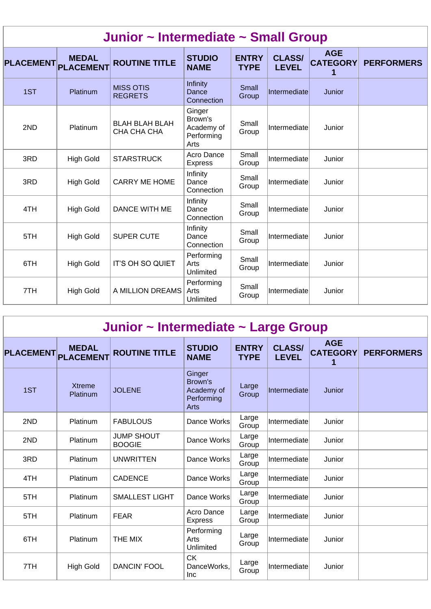| Junior ~ Intermediate ~ Small Group |                  |                                      |                                                       |                             |                               |                                    |                   |  |  |  |
|-------------------------------------|------------------|--------------------------------------|-------------------------------------------------------|-----------------------------|-------------------------------|------------------------------------|-------------------|--|--|--|
| PLACEMENT PLACEMENT                 | <b>MEDAL</b>     | <b>ROUTINE TITLE</b>                 | <b>STUDIO</b><br><b>NAME</b>                          | <b>ENTRY</b><br><b>TYPE</b> | <b>CLASS/</b><br><b>LEVEL</b> | <b>AGE</b><br><b>CATEGORY</b><br>1 | <b>PERFORMERS</b> |  |  |  |
| 1ST                                 | <b>Platinum</b>  | <b>MISS OTIS</b><br><b>REGRETS</b>   | Infinity<br>Dance<br>Connection                       | Small<br>Group              | Intermediate                  | Junior                             |                   |  |  |  |
| 2ND                                 | Platinum         | <b>BLAH BLAH BLAH</b><br>CHA CHA CHA | Ginger<br>Brown's<br>Academy of<br>Performing<br>Arts | Small<br>Group              | Intermediate                  | Junior                             |                   |  |  |  |
| 3RD                                 | <b>High Gold</b> | <b>STARSTRUCK</b>                    | Acro Dance<br><b>Express</b>                          | Small<br>Group              | Intermediate                  | Junior                             |                   |  |  |  |
| 3RD                                 | <b>High Gold</b> | <b>CARRY ME HOME</b>                 | Infinity<br>Dance<br>Connection                       | Small<br>Group              | Intermediate                  | Junior                             |                   |  |  |  |
| 4TH                                 | <b>High Gold</b> | <b>DANCE WITH ME</b>                 | Infinity<br>Dance<br>Connection                       | Small<br>Group              | Intermediate                  | Junior                             |                   |  |  |  |
| 5TH                                 | <b>High Gold</b> | <b>SUPER CUTE</b>                    | Infinity<br>Dance<br>Connection                       | Small<br>Group              | Intermediate                  | Junior                             |                   |  |  |  |
| 6TH                                 | <b>High Gold</b> | IT'S OH SO QUIET                     | Performing<br>Arts<br>Unlimited                       | Small<br>Group              | Intermediate                  | Junior                             |                   |  |  |  |
| 7TH                                 | <b>High Gold</b> | A MILLION DREAMS                     | Performing<br>Arts<br>Unlimited                       | Small<br>Group              | Intermediate                  | Junior                             |                   |  |  |  |

| Junior ~ Intermediate ~ Large Group |  |  |  |  |
|-------------------------------------|--|--|--|--|
|-------------------------------------|--|--|--|--|

| <b>PLACEMENT</b> | <b>MEDAL</b><br><b>PLACEMENT</b> | <b>ROUTINE TITLE</b>               | <b>STUDIO</b><br><b>NAME</b>                                 | <b>ENTRY</b><br><b>TYPE</b> | <b>CLASS/</b><br><b>LEVEL</b> | <b>AGE</b><br><b>CATEGORY</b><br>1 | <b>PERFORMERS</b> |
|------------------|----------------------------------|------------------------------------|--------------------------------------------------------------|-----------------------------|-------------------------------|------------------------------------|-------------------|
| 1ST              | <b>Xtreme</b><br>Platinum        | <b>JOLENE</b>                      | Ginger<br>Brown's<br>Academy of<br>Performing<br><b>Arts</b> | Large<br>Group              | Intermediate                  | Junior                             |                   |
| 2ND              | Platinum                         | <b>FABULOUS</b>                    | Dance Works                                                  | Large<br>Group              | Intermediate                  | Junior                             |                   |
| 2ND              | Platinum                         | <b>JUMP SHOUT</b><br><b>BOOGIE</b> | Dance Works                                                  | Large<br>Group              | Intermediatel                 | Junior                             |                   |
| 3RD              | Platinum                         | <b>UNWRITTEN</b>                   | Dance Works                                                  | Large<br>Group              | Intermediate                  | Junior                             |                   |
| 4TH              | Platinum                         | <b>CADENCE</b>                     | Dance Works                                                  | Large<br>Group              | Intermediate                  | Junior                             |                   |
| 5TH              | Platinum                         | <b>SMALLEST LIGHT</b>              | Dance Works                                                  | Large<br>Group              | Intermediate                  | Junior                             |                   |
| 5TH              | Platinum                         | <b>FEAR</b>                        | Acro Dance<br><b>Express</b>                                 | Large<br>Group              | Intermediate                  | Junior                             |                   |
| 6TH              | Platinum                         | THE MIX                            | Performing<br>Arts<br>Unlimited                              | Large<br>Group              | Intermediate                  | Junior                             |                   |
| 7TH              | <b>High Gold</b>                 | <b>DANCIN' FOOL</b>                | <b>CK</b><br>DanceWorks,<br><b>Inc</b>                       | Large<br>Group              | Intermediate                  | Junior                             |                   |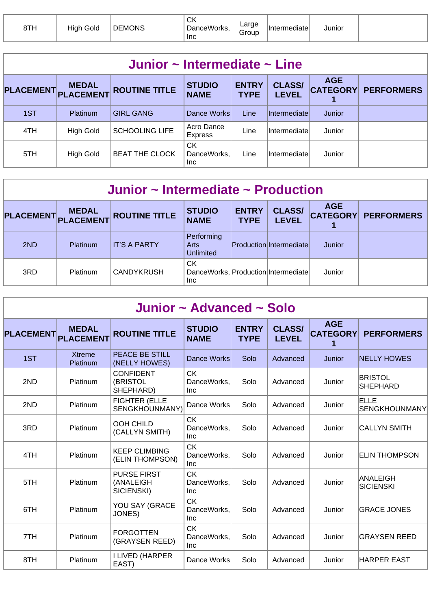| 8TH | Gold<br>Hınt | <b>DEMONS</b> | $\sim$<br>UN.<br>``anceWorks.<br><b>Inc</b><br>$\sim$ | ∟arge<br>`roup<br>п. | ∖diate⊪ | Junior |  |
|-----|--------------|---------------|-------------------------------------------------------|----------------------|---------|--------|--|
|-----|--------------|---------------|-------------------------------------------------------|----------------------|---------|--------|--|

| Junior $\sim$ Intermediate $\sim$ Line |                 |                       |                                  |                             |                               |                               |                   |  |  |  |
|----------------------------------------|-----------------|-----------------------|----------------------------------|-----------------------------|-------------------------------|-------------------------------|-------------------|--|--|--|
| PLACEMENT MEDAL                        |                 | <b>ROUTINE TITLE</b>  | <b>STUDIO</b><br><b>NAME</b>     | <b>ENTRY</b><br><b>TYPE</b> | <b>CLASS/</b><br><b>LEVEL</b> | <b>AGE</b><br><b>CATEGORY</b> | <b>PERFORMERS</b> |  |  |  |
| 1ST                                    | <b>Platinum</b> | <b>GIRL GANG</b>      | Dance Works                      | Line                        | <i>Intermediate</i>           | Junior                        |                   |  |  |  |
| 4TH                                    | High Gold       | <b>SCHOOLING LIFE</b> | Acro Dance<br>Express            | Line                        | Intermediate                  | Junior                        |                   |  |  |  |
| 5TH                                    | High Gold       | <b>BEAT THE CLOCK</b> | <b>CK</b><br>DanceWorks,<br>Inc. | Line                        | Intermediate                  | Junior                        |                   |  |  |  |

| Junior $\sim$ Intermediate $\sim$ Production |                           |                      |                                                   |                             |                                |            |                            |  |  |
|----------------------------------------------|---------------------------|----------------------|---------------------------------------------------|-----------------------------|--------------------------------|------------|----------------------------|--|--|
| <b>PLACEMENT</b>                             | <b>MEDAL</b><br>PLACEMENT | <b>ROUTINE TITLE</b> | <b>STUDIO</b><br><b>NAME</b>                      | <b>ENTRY</b><br><b>TYPE</b> | <b>CLASS/</b><br><b>LEVEL</b>  | <b>AGE</b> | <b>CATEGORY PERFORMERS</b> |  |  |
| 2ND                                          | <b>Platinum</b>           | <b>IT'S A PARTY</b>  | Performing<br>Arts<br><b>Unlimited</b>            |                             | <b>Production Intermediate</b> | Junior     |                            |  |  |
| 3RD                                          | <b>Platinum</b>           | <b>CANDYKRUSH</b>    | СK<br>DanceWorks, Production Intermediate<br>Inc. |                             |                                | Junior     |                            |  |  |

| Junior ~ Advanced ~ Solo |                                  |                                               |                                        |                             |                               |                                    |                                   |  |  |  |
|--------------------------|----------------------------------|-----------------------------------------------|----------------------------------------|-----------------------------|-------------------------------|------------------------------------|-----------------------------------|--|--|--|
| <b>PLACEMENT</b>         | <b>MEDAL</b><br><b>PLACEMENT</b> | <b>ROUTINE TITLE</b>                          | <b>STUDIO</b><br><b>NAME</b>           | <b>ENTRY</b><br><b>TYPE</b> | <b>CLASS/</b><br><b>LEVEL</b> | <b>AGE</b><br><b>CATEGORY</b><br>1 | <b>PERFORMERS</b>                 |  |  |  |
| 1ST                      | <b>Xtreme</b><br>Platinum        | <b>PEACE BE STILL</b><br>(NELLY HOWES)        | Dance Works                            | Solo                        | Advanced                      | Junior                             | <b>NELLY HOWES</b>                |  |  |  |
| 2ND                      | Platinum                         | <b>CONFIDENT</b><br>(BRISTOL<br>SHEPHARD)     | <b>CK</b><br>DanceWorks.<br><b>Inc</b> | Solo                        | Advanced                      | Junior                             | <b>BRISTOL</b><br><b>SHEPHARD</b> |  |  |  |
| 2ND                      | Platinum                         | <b>FIGHTER (ELLE</b><br>SENGKHOUNMANY)        | Dance Works                            | Solo                        | Advanced                      | Junior                             | ELLE<br><b>SENGKHOUNMANY</b>      |  |  |  |
| 3RD                      | Platinum                         | OOH CHILD<br>(CALLYN SMITH)                   | <b>CK</b><br>DanceWorks.<br><b>Inc</b> | Solo                        | Advanced                      | Junior                             | <b>CALLYN SMITH</b>               |  |  |  |
| 4TH                      | Platinum                         | <b>KEEP CLIMBING</b><br>(ELIN THOMPSON)       | <b>CK</b><br>DanceWorks,<br><b>Inc</b> | Solo                        | Advanced                      | Junior                             | <b>ELIN THOMPSON</b>              |  |  |  |
| 5TH                      | Platinum                         | <b>PURSE FIRST</b><br>(ANALEIGH<br>SICIENSKI) | <b>CK</b><br>DanceWorks.<br><b>Inc</b> | Solo                        | Advanced                      | Junior                             | ANALEIGH<br><b>SICIENSKI</b>      |  |  |  |
| 6TH                      | Platinum                         | YOU SAY (GRACE<br>JONES)                      | <b>CK</b><br>DanceWorks.<br><b>Inc</b> | Solo                        | Advanced                      | Junior                             | <b>GRACE JONES</b>                |  |  |  |
| 7TH                      | Platinum                         | <b>FORGOTTEN</b><br>(GRAYSEN REED)            | <b>CK</b><br>DanceWorks.<br><b>Inc</b> | Solo                        | Advanced                      | Junior                             | IGRAYSEN REED                     |  |  |  |
| 8TH                      | Platinum                         | <b>I LIVED (HARPER</b><br>EAST)               | Dance Works                            | Solo                        | Advanced                      | Junior                             | <b>HARPER EAST</b>                |  |  |  |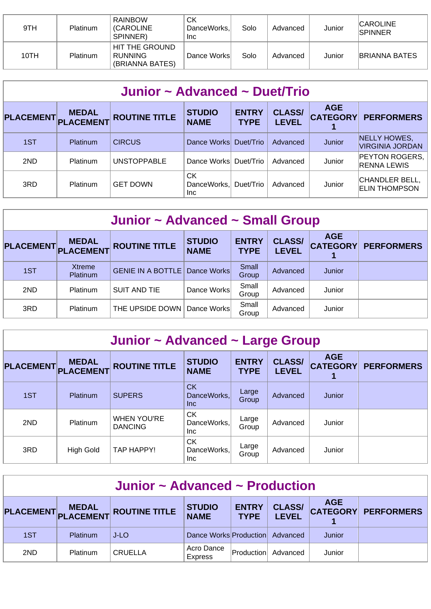| 9TH  | Platinum | <b>RAINBOW</b><br><b><i>(CAROLINE</i></b><br>SPINNER) | СK<br>DanceWorks.<br>Inc. | Solo | Advanced | Junior | <b>CAROLINE</b><br><b>SPINNER</b> |
|------|----------|-------------------------------------------------------|---------------------------|------|----------|--------|-----------------------------------|
| 10TH | Platinum | HIT THE GROUND<br><b>RUNNING</b><br>(BRIANNA BATES)   | Dance Works               | Solo | Advanced | Junior | <b>BRIANNA BATES</b>              |

| Junior ~ Advanced ~ Duet/Trio |                           |                      |                                  |                             |                               |                               |                                             |  |  |  |
|-------------------------------|---------------------------|----------------------|----------------------------------|-----------------------------|-------------------------------|-------------------------------|---------------------------------------------|--|--|--|
| <b>PLACEMENT</b>              | <b>MEDAL</b><br>PLACEMENT | <b>ROUTINE TITLE</b> | <b>STUDIO</b><br><b>NAME</b>     | <b>ENTRY</b><br><b>TYPE</b> | <b>CLASS/</b><br><b>LEVEL</b> | <b>AGE</b><br><b>CATEGORY</b> | <b>PERFORMERS</b>                           |  |  |  |
| 1ST                           | Platinum                  | <b>CIRCUS</b>        | Dance Works Duet/Trio            |                             | Advanced                      | Junior                        | NELLY HOWES,<br><b>VIRGINIA JORDAN</b>      |  |  |  |
| 2ND                           | <b>Platinum</b>           | <b>UNSTOPPABLE</b>   | Dance Works                      | Duet/Trio                   | Advanced                      | Junior                        | <b>PEYTON ROGERS,</b><br><b>RENNA LEWIS</b> |  |  |  |
| 3RD                           | Platinum                  | <b>GET DOWN</b>      | <b>CK</b><br>DanceWorks.<br>Inc. | Duet/Trio                   | Advanced                      | Junior                        | CHANDLER BELL,<br><b>IELIN THOMPSON</b>     |  |  |  |

| Junior ~ Advanced ~ Small Group |                           |                          |                              |                             |                               |                               |                   |  |  |
|---------------------------------|---------------------------|--------------------------|------------------------------|-----------------------------|-------------------------------|-------------------------------|-------------------|--|--|
| <b>PLACEMENT</b>                | MEDAL<br>PLACEMENT        | <b>ROUTINE TITLE</b>     | <b>STUDIO</b><br><b>NAME</b> | <b>ENTRY</b><br><b>TYPE</b> | <b>CLASS/</b><br><b>LEVEL</b> | <b>AGE</b><br><b>CATEGORY</b> | <b>PERFORMERS</b> |  |  |
| 1ST                             | Xtreme<br><b>Platinum</b> | <b>GENIE IN A BOTTLE</b> | Dance Works                  | Small<br>Group              | Advanced                      | Junior                        |                   |  |  |
| 2ND                             | Platinum                  | <b>SUIT AND TIE</b>      | Dance Works                  | Small<br>Group              | Advanced                      | Junior                        |                   |  |  |
| 3RD                             | <b>Platinum</b>           | THE UPSIDE DOWN          | Dance Works                  | Small<br>Group              | Advanced                      | Junior                        |                   |  |  |

| Junior ~ Advanced ~ Large Group |                                  |                                      |                                        |                             |                               |                                    |                   |  |  |  |
|---------------------------------|----------------------------------|--------------------------------------|----------------------------------------|-----------------------------|-------------------------------|------------------------------------|-------------------|--|--|--|
| <b>PLACEMENT</b>                | <b>MEDAL</b><br><b>PLACEMENT</b> | <b>ROUTINE TITLE</b>                 | <b>STUDIO</b><br><b>NAME</b>           | <b>ENTRY</b><br><b>TYPE</b> | <b>CLASS/</b><br><b>LEVEL</b> | <b>AGE</b><br><b>CATEGORY</b><br>1 | <b>PERFORMERS</b> |  |  |  |
| 1ST                             | <b>Platinum</b>                  | <b>SUPERS</b>                        | CK<br>DanceWorks,<br><b>Inc</b>        | Large<br>Group              | Advanced                      | Junior                             |                   |  |  |  |
| 2ND                             | Platinum                         | <b>WHEN YOU'RE</b><br><b>DANCING</b> | <b>CK</b><br>DanceWorks,<br>Inc.       | Large<br>Group              | Advanced                      | Junior                             |                   |  |  |  |
| 3RD                             | <b>High Gold</b>                 | TAP HAPPY!                           | <b>CK</b><br>DanceWorks,<br><b>Inc</b> | Large<br>Group              | Advanced                      | Junior                             |                   |  |  |  |

| Junior $\sim$ Advanced $\sim$ Production |                 |                      |                              |                             |                               |            |                     |  |  |
|------------------------------------------|-----------------|----------------------|------------------------------|-----------------------------|-------------------------------|------------|---------------------|--|--|
|                                          | PLACEMENT MEDAL | <b>ROUTINE TITLE</b> | <b>STUDIO</b><br><b>NAME</b> | <b>ENTRY</b><br><b>TYPE</b> | <b>CLASS/</b><br><b>LEVEL</b> | <b>AGE</b> | CATEGORY PERFORMERS |  |  |
| 1ST                                      | <b>Platinum</b> | J-LO                 | Dance Works Production       |                             | Advanced                      | Junior     |                     |  |  |
| 2ND                                      | <b>Platinum</b> | <b>CRUELLA</b>       | Acro Dance<br><b>Express</b> | Production                  | Advanced                      | Junior     |                     |  |  |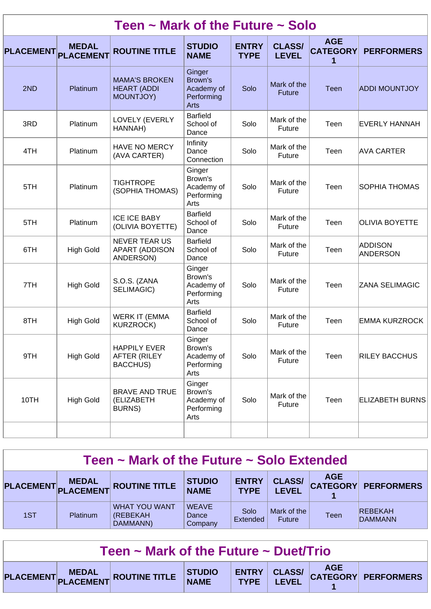|                  |                                  | Teen $\sim$ Mark of the Future $\sim$ Solo                 |                                                       |                             |                               |                                    |                                   |
|------------------|----------------------------------|------------------------------------------------------------|-------------------------------------------------------|-----------------------------|-------------------------------|------------------------------------|-----------------------------------|
| <b>PLACEMENT</b> | <b>MEDAL</b><br><b>PLACEMENT</b> | <b>ROUTINE TITLE</b>                                       | <b>STUDIO</b><br><b>NAME</b>                          | <b>ENTRY</b><br><b>TYPE</b> | <b>CLASS/</b><br><b>LEVEL</b> | <b>AGE</b><br><b>CATEGORY</b><br>1 | <b>PERFORMERS</b>                 |
| 2ND              | Platinum                         | <b>MAMA'S BROKEN</b><br><b>HEART (ADDI</b><br>MOUNTJOY)    | Ginger<br>Brown's<br>Academy of<br>Performing<br>Arts | Solo                        | Mark of the<br><b>Future</b>  | <b>Teen</b>                        | <b>ADDI MOUNTJOY</b>              |
| 3RD              | Platinum                         | LOVELY (EVERLY<br>HANNAH)                                  | <b>Barfield</b><br>School of<br>Dance                 | Solo                        | Mark of the<br>Future         | Teen                               | EVERLY HANNAH                     |
| 4TH              | Platinum                         | <b>HAVE NO MERCY</b><br>(AVA CARTER)                       | Infinity<br>Dance<br>Connection                       | Solo                        | Mark of the<br>Future         | Teen                               | <b>AVA CARTER</b>                 |
| 5TH              | Platinum                         | <b>TIGHTROPE</b><br>(SOPHIA THOMAS)                        | Ginger<br>Brown's<br>Academy of<br>Performing<br>Arts | Solo                        | Mark of the<br>Future         | Teen                               | <b>SOPHIA THOMAS</b>              |
| 5TH              | Platinum                         | <b>ICE ICE BABY</b><br>(OLIVIA BOYETTE)                    | <b>Barfield</b><br>School of<br>Dance                 | Solo                        | Mark of the<br>Future         | Teen                               | <b>OLIVIA BOYETTE</b>             |
| 6TH              | <b>High Gold</b>                 | <b>NEVER TEAR US</b><br><b>APART (ADDISON</b><br>ANDERSON) | <b>Barfield</b><br>School of<br>Dance                 | Solo                        | Mark of the<br>Future         | Teen                               | <b>ADDISON</b><br><b>ANDERSON</b> |
| 7TH              | <b>High Gold</b>                 | S.O.S. (ZANA<br>SELIMAGIC)                                 | Ginger<br>Brown's<br>Academy of<br>Performing<br>Arts | Solo                        | Mark of the<br>Future         | Teen                               | ZANA SELIMAGIC                    |
| 8TH              | <b>High Gold</b>                 | <b>WERK IT (EMMA</b><br><b>KURZROCK)</b>                   | <b>Barfield</b><br>School of<br>Dance                 | Solo                        | Mark of the<br>Future         | Teen                               | EMMA KURZROCK                     |
| 9TH              | <b>High Gold</b>                 | <b>HAPPILY EVER</b><br><b>AFTER (RILEY</b><br>BACCHUS)     | Ginger<br>Brown's<br>Academy of<br>Performing<br>Arts | Solo                        | Mark of the<br>Future         | Teen                               | <b>RILEY BACCHUS</b>              |
| 10TH             | <b>High Gold</b>                 | <b>BRAVE AND TRUE</b><br>(ELIZABETH<br><b>BURNS)</b>       | Ginger<br>Brown's<br>Academy of<br>Performing<br>Arts | Solo                        | Mark of the<br>Future         | Teen                               | <b>ELIZABETH BURNS</b>            |
|                  |                                  |                                                            |                                                       |                             |                               |                                    |                                   |

|  |  |  |  | Teen $\sim$ Mark of the Future $\sim$ Solo Extended |
|--|--|--|--|-----------------------------------------------------|
|--|--|--|--|-----------------------------------------------------|

|     | <b>MEDAL</b> | PLACEMENT PLACEMENT ROUTINE TITLE                    | <b>STUDIO</b><br><b>NAME</b>     | <b>ENTRY</b><br><b>TYPE</b> | <b>CLASS/</b><br><b>EVEL</b> | <b>AGE</b><br><b>CATEGORY</b> | <b>PERFORMERS</b>                |
|-----|--------------|------------------------------------------------------|----------------------------------|-----------------------------|------------------------------|-------------------------------|----------------------------------|
| 1ST | Platinum     | <b>WHAT YOU WANT</b><br><b>(REBEKAH)</b><br>DAMMANN) | <b>WEAVE</b><br>Dance<br>Company | Solo<br>Extended            | Mark of the<br>Future        | <b>Teen</b>                   | <b>REBEKAH</b><br><b>DAMMANN</b> |

| Teen $\sim$ Mark of the Future $\sim$ Duet/Trio |  |                                                                          |  |  |  |  |  |  |
|-------------------------------------------------|--|--------------------------------------------------------------------------|--|--|--|--|--|--|
|                                                 |  | PLACEMENT PLACEMENT ROUTINE TITLE STUDIO ENTRY CLASS/ AGE AGE PERFORMERS |  |  |  |  |  |  |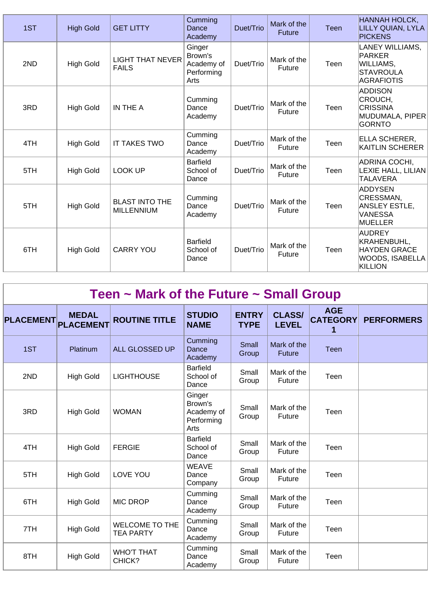| 1ST | <b>High Gold</b> | <b>GET LITTY</b>                           | Cumming<br>Dance<br>Academy                           | Duet/Trio | Mark of the<br><b>Future</b> | <b>Teen</b> | <b>HANNAH HOLCK,</b><br>LILLY QUIAN, LYLA<br><b>PICKENS</b>                            |
|-----|------------------|--------------------------------------------|-------------------------------------------------------|-----------|------------------------------|-------------|----------------------------------------------------------------------------------------|
| 2ND | <b>High Gold</b> | <b>LIGHT THAT NEVER</b><br><b>FAILS</b>    | Ginger<br>Brown's<br>Academy of<br>Performing<br>Arts | Duet/Trio | Mark of the<br><b>Future</b> | Teen        | LANEY WILLIAMS,<br><b>PARKER</b><br>WILLIAMS,<br><b>STAVROULA</b><br><b>AGRAFIOTIS</b> |
| 3RD | <b>High Gold</b> | IN THE A                                   | Cumming<br>Dance<br>Academy                           | Duet/Trio | Mark of the<br>Future        | Teen        | <b>ADDISON</b><br>CROUCH,<br><b>CRISSINA</b><br>MUDUMALA, PIPER<br><b>GORNTO</b>       |
| 4TH | <b>High Gold</b> | <b>IT TAKES TWO</b>                        | Cumming<br>Dance<br>Academy                           | Duet/Trio | Mark of the<br><b>Future</b> | Teen        | ELLA SCHERER,<br><b>KAITLIN SCHERER</b>                                                |
| 5TH | <b>High Gold</b> | <b>LOOK UP</b>                             | <b>Barfield</b><br>School of<br>Dance                 | Duet/Trio | Mark of the<br>Future        | Teen        | ADRINA COCHI,<br>LEXIE HALL, LILIAN<br><b>TALAVERA</b>                                 |
| 5TH | <b>High Gold</b> | <b>BLAST INTO THE</b><br><b>MILLENNIUM</b> | Cumming<br>Dance<br>Academy                           | Duet/Trio | Mark of the<br>Future        | Teen        | <b>ADDYSEN</b><br>CRESSMAN,<br>ANSLEY ESTLE,<br><b>VANESSA</b><br><b>MUELLER</b>       |
| 6TH | <b>High Gold</b> | <b>CARRY YOU</b>                           | <b>Barfield</b><br>School of<br>Dance                 | Duet/Trio | Mark of the<br>Future        | Teen        | AUDREY<br>KRAHENBUHL,<br><b>HAYDEN GRACE</b><br>WOODS, ISABELLA<br><b>KILLION</b>      |

| Teen $\sim$ Mark of the Future $\sim$ Small Group |                                  |                                           |                                                       |                             |                               |                                    |                   |  |  |
|---------------------------------------------------|----------------------------------|-------------------------------------------|-------------------------------------------------------|-----------------------------|-------------------------------|------------------------------------|-------------------|--|--|
| <b>PLACEMENT</b>                                  | <b>MEDAL</b><br><b>PLACEMENT</b> | <b>ROUTINE TITLE</b>                      | <b>STUDIO</b><br><b>NAME</b>                          | <b>ENTRY</b><br><b>TYPE</b> | <b>CLASS/</b><br><b>LEVEL</b> | <b>AGE</b><br><b>CATEGORY</b><br>1 | <b>PERFORMERS</b> |  |  |
| 1ST                                               | Platinum                         | ALL GLOSSED UP                            | Cumming<br>Dance<br>Academy                           | Small<br>Group              | Mark of the<br><b>Future</b>  | <b>Teen</b>                        |                   |  |  |
| 2ND                                               | <b>High Gold</b>                 | <b>LIGHTHOUSE</b>                         | <b>Barfield</b><br>School of<br>Dance                 | Small<br>Group              | Mark of the<br>Future         | Teen                               |                   |  |  |
| 3RD                                               | <b>High Gold</b>                 | <b>WOMAN</b>                              | Ginger<br>Brown's<br>Academy of<br>Performing<br>Arts | Small<br>Group              | Mark of the<br>Future         | Teen                               |                   |  |  |
| 4TH                                               | <b>High Gold</b>                 | <b>FERGIE</b>                             | <b>Barfield</b><br>School of<br>Dance                 | Small<br>Group              | Mark of the<br>Future         | Teen                               |                   |  |  |
| 5TH                                               | <b>High Gold</b>                 | LOVE YOU                                  | <b>WEAVE</b><br>Dance<br>Company                      | Small<br>Group              | Mark of the<br>Future         | Teen                               |                   |  |  |
| 6TH                                               | <b>High Gold</b>                 | <b>MIC DROP</b>                           | Cumming<br>Dance<br>Academy                           | Small<br>Group              | Mark of the<br>Future         | Teen                               |                   |  |  |
| 7TH                                               | <b>High Gold</b>                 | <b>WELCOME TO THE</b><br><b>TEA PARTY</b> | Cumming<br>Dance<br>Academy                           | Small<br>Group              | Mark of the<br>Future         | Teen                               |                   |  |  |
| 8TH                                               | <b>High Gold</b>                 | <b>WHO'T THAT</b><br>CHICK?               | Cumming<br>Dance<br>Academy                           | Small<br>Group              | Mark of the<br>Future         | Teen                               |                   |  |  |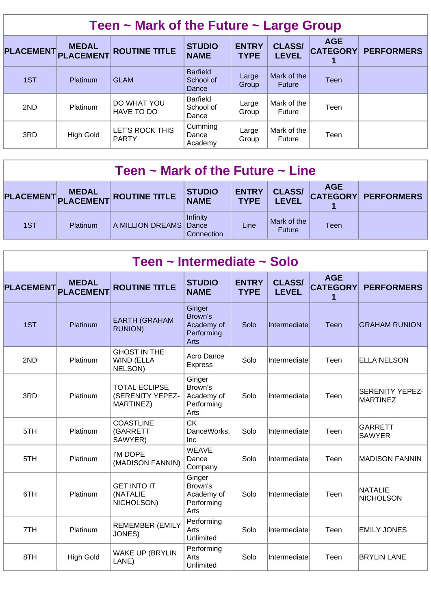| Teen $\sim$ Mark of the Future $\sim$ Large Group |                                  |                                        |                                       |                             |                               |                               |                   |  |  |  |
|---------------------------------------------------|----------------------------------|----------------------------------------|---------------------------------------|-----------------------------|-------------------------------|-------------------------------|-------------------|--|--|--|
| <b>PLACEMENT</b>                                  | <b>MEDAL</b><br><b>PLACEMENT</b> | <b>ROUTINE TITLE</b>                   | <b>STUDIO</b><br><b>NAME</b>          | <b>ENTRY</b><br><b>TYPE</b> | <b>CLASS/</b><br><b>LEVEL</b> | <b>AGE</b><br><b>CATEGORY</b> | <b>PERFORMERS</b> |  |  |  |
| 1ST                                               | Platinum                         | <b>GLAM</b>                            | <b>Barfield</b><br>School of<br>Dance | Large<br>Group              | Mark of the<br><b>Future</b>  | <b>Teen</b>                   |                   |  |  |  |
| 2ND                                               | Platinum                         | DO WHAT YOU<br>HAVE TO DO              | <b>Barfield</b><br>School of<br>Dance | Large<br>Group              | Mark of the<br>Future         | Teen                          |                   |  |  |  |
| 3RD                                               | <b>High Gold</b>                 | <b>LET'S ROCK THIS</b><br><b>PARTY</b> | Cumming<br>Dance<br>Academy           | Large<br>Group              | Mark of the<br>Future         | Teen                          |                   |  |  |  |

| Teen $\sim$ Mark of the Future $\sim$ Line |          |                               |                              |                             |                               |             |                     |  |  |
|--------------------------------------------|----------|-------------------------------|------------------------------|-----------------------------|-------------------------------|-------------|---------------------|--|--|
|                                            |          | PLACEMENT MEDAL ROUTINE TITLE | <b>STUDIO</b><br><b>NAME</b> | <b>ENTRY</b><br><b>TYPE</b> | <b>CLASS/</b><br><b>LEVEL</b> | <b>AGE</b>  | CATEGORY PERFORMERS |  |  |
| 1ST                                        | Platinum | A MILLION DREAMS Dance        | Infinity<br>Connection       | Line                        | Mark of the<br><b>Future</b>  | <b>Teen</b> |                     |  |  |

|                            |                  | Teen ~ Intermediate ~ Solo                            |                                                       |                             |                               |                                    |                                    |
|----------------------------|------------------|-------------------------------------------------------|-------------------------------------------------------|-----------------------------|-------------------------------|------------------------------------|------------------------------------|
| <b>PLACEMENT</b> PLACEMENT | <b>MEDAL</b>     | <b>ROUTINE TITLE</b>                                  | <b>STUDIO</b><br><b>NAME</b>                          | <b>ENTRY</b><br><b>TYPE</b> | <b>CLASS/</b><br><b>LEVEL</b> | <b>AGE</b><br><b>CATEGORY</b><br>1 | <b>PERFORMERS</b>                  |
| 1ST                        | Platinum         | <b>EARTH (GRAHAM</b><br><b>RUNION)</b>                | Ginger<br>Brown's<br>Academy of<br>Performing<br>Arts | Solo                        | Intermediate                  | Teen                               | <b>GRAHAM RUNION</b>               |
| 2ND                        | Platinum         | <b>GHOST IN THE</b><br>WIND (ELLA<br>NELSON)          | Acro Dance<br><b>Express</b>                          | Solo                        | Intermediate                  | Teen                               | <b>ELLA NELSON</b>                 |
| 3RD                        | Platinum         | <b>TOTAL ECLIPSE</b><br>(SERENITY YEPEZ-<br>MARTINEZ) | Ginger<br>Brown's<br>Academy of<br>Performing<br>Arts | Solo                        | Intermediate                  | Teen                               | <b>SERENITY YEPEZ-</b><br>MARTINEZ |
| 5TH                        | Platinum         | <b>COASTLINE</b><br>(GARRETT<br>SAWYER)               | <b>CK</b><br>DanceWorks.<br>Inc                       | Solo                        | Intermediate                  | Teen                               | GARRETT<br><b>SAWYER</b>           |
| 5TH                        | Platinum         | I'M DOPE<br>(MADISON FANNIN)                          | <b>WEAVE</b><br>Dance<br>Company                      | Solo                        | Intermediate                  | Teen                               | <b>MADISON FANNIN</b>              |
| 6TH                        | Platinum         | <b>GET INTO IT</b><br>(NATALIE<br>NICHOLSON)          | Ginger<br>Brown's<br>Academy of<br>Performing<br>Arts | Solo                        | Intermediate                  | Teen                               | <b>NATALIE</b><br>NICHOLSON        |
| 7TH                        | Platinum         | <b>REMEMBER (EMILY</b><br>JONES)                      | Performing<br>Arts<br>Unlimited                       | Solo                        | Intermediate                  | Teen                               | <b>EMILY JONES</b>                 |
| 8TH                        | <b>High Gold</b> | <b>WAKE UP (BRYLIN</b><br>LANE)                       | Performing<br>Arts<br>Unlimited                       | Solo                        | Intermediate                  | Teen                               | <b>BRYLIN LANE</b>                 |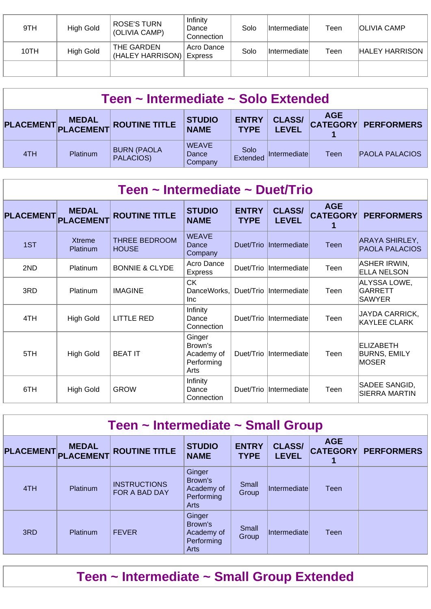| 9TH  | High Gold | <b>ROSE'S TURN</b><br>(OLIVIA CAMP) | Infinity<br>Dance<br>Connection | Solo | <b>Intermediate</b> | Teen | <b>OLIVIA CAMP</b>    |
|------|-----------|-------------------------------------|---------------------------------|------|---------------------|------|-----------------------|
| 10TH | High Gold | THE GARDEN<br>(HALEY HARRISON)      | Acro Dance<br><b>Express</b>    | Solo | <b>Intermediate</b> | Teen | <b>HALEY HARRISON</b> |
|      |           |                                     |                                 |      |                     |      |                       |

| Teen ~ Intermediate ~ Solo Extended |                 |                                                      |                                  |                             |                               |             |                            |  |  |
|-------------------------------------|-----------------|------------------------------------------------------|----------------------------------|-----------------------------|-------------------------------|-------------|----------------------------|--|--|
|                                     |                 | PLACEMENT MEDAL<br>PLACEMENT PLACEMENT ROUTINE TITLE | <b>STUDIO</b><br><b>NAME</b>     | <b>ENTRY</b><br><b>TYPE</b> | <b>CLASS/</b><br><b>LEVEL</b> | <b>AGE</b>  | <b>CATEGORY PERFORMERS</b> |  |  |
| 4TH                                 | <b>Platinum</b> | <b>BURN (PAOLA</b><br>PALACIOS)                      | <b>WEAVE</b><br>Dance<br>Company | Solo<br>Extended            | Intermediate                  | <b>Teen</b> | <b>PAOLA PALACIOS</b>      |  |  |

| Teen ~ Intermediate ~ Duet/Trio |                                  |                                      |                                                       |                             |                               |                               |                                                  |  |  |  |
|---------------------------------|----------------------------------|--------------------------------------|-------------------------------------------------------|-----------------------------|-------------------------------|-------------------------------|--------------------------------------------------|--|--|--|
| <b>PLACEMENT</b>                | <b>MEDAL</b><br><b>PLACEMENT</b> | <b>ROUTINE TITLE</b>                 | <b>STUDIO</b><br><b>NAME</b>                          | <b>ENTRY</b><br><b>TYPE</b> | <b>CLASS/</b><br><b>LEVEL</b> | <b>AGE</b><br><b>CATEGORY</b> | <b>PERFORMERS</b>                                |  |  |  |
| 1ST                             | <b>Xtreme</b><br>Platinum        | <b>THREE BEDROOM</b><br><b>HOUSE</b> | <b>WEAVE</b><br>Dance<br>Company                      | Duet/Trio                   | Intermediate                  | <b>Teen</b>                   | ARAYA SHIRLEY,<br><b>PAOLA PALACIOS</b>          |  |  |  |
| 2ND                             | Platinum                         | <b>BONNIE &amp; CLYDE</b>            | Acro Dance<br><b>Express</b>                          | Duet/Trio                   | Intermediate                  | Teen                          | <b>ASHER IRWIN,</b><br><b>ELLA NELSON</b>        |  |  |  |
| 3RD                             | Platinum                         | <b>IMAGINE</b>                       | <b>CK</b><br>DanceWorks.<br>Inc.                      | Duet/Trio                   | Intermediate                  | Teen                          | ALYSSA LOWE,<br><b>GARRETT</b><br><b>SAWYER</b>  |  |  |  |
| 4TH                             | High Gold                        | <b>LITTLE RED</b>                    | Infinity<br>Dance<br>Connection                       | Duet/Trio                   | Intermediate                  | Teen                          | JAYDA CARRICK,<br><b>KAYLEE CLARK</b>            |  |  |  |
| 5TH                             | <b>High Gold</b>                 | <b>BEAT IT</b>                       | Ginger<br>Brown's<br>Academy of<br>Performing<br>Arts | Duet/Trio                   | Intermediate                  | Teen                          | ELIZABETH<br><b>BURNS, EMILY</b><br><b>MOSER</b> |  |  |  |
| 6TH                             | <b>High Gold</b>                 | <b>GROW</b>                          | Infinity<br>Dance<br>Connection                       | Duet/Trio                   | Intermediate                  | Teen                          | SADEE SANGID,<br><b>SIERRA MARTIN</b>            |  |  |  |

| Teen ~ Intermediate ~ Small Group |                                  |                                      |                                                       |                             |                               |                               |                   |  |  |  |
|-----------------------------------|----------------------------------|--------------------------------------|-------------------------------------------------------|-----------------------------|-------------------------------|-------------------------------|-------------------|--|--|--|
| <b>PLACEMENT</b>                  | <b>MEDAL</b><br><b>PLACEMENT</b> | <b>ROUTINE TITLE</b>                 | <b>STUDIO</b><br><b>NAME</b>                          | <b>ENTRY</b><br><b>TYPE</b> | <b>CLASS/</b><br><b>LEVEL</b> | <b>AGE</b><br><b>CATEGORY</b> | <b>PERFORMERS</b> |  |  |  |
| 4TH                               | Platinum                         | <b>INSTRUCTIONS</b><br>FOR A BAD DAY | Ginger<br>Brown's<br>Academy of<br>Performing<br>Arts | Small<br>Group              | Intermediatel                 | Teen                          |                   |  |  |  |
| 3RD                               | <b>Platinum</b>                  | <b>FEVER</b>                         | Ginger<br>Brown's<br>Academy of<br>Performing<br>Arts | Small<br>Group              | Intermediate                  | Teen                          |                   |  |  |  |

**Teen ~ Intermediate ~ Small Group Extended**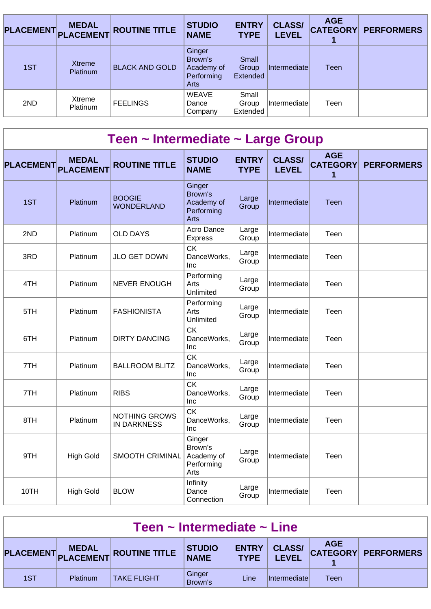| <b>PLACEMENT</b> | <b>MEDAL</b><br><b>PLACEMENT</b> | <b>ROUTINE TITLE</b>  | <b>STUDIO</b><br><b>NAME</b>                          | <b>ENTRY</b><br><b>TYPE</b> | <b>CLASS/</b><br><b>LEVEL</b> | <b>AGE</b><br><b>CATEGORY</b> | <b>PERFORMERS</b> |
|------------------|----------------------------------|-----------------------|-------------------------------------------------------|-----------------------------|-------------------------------|-------------------------------|-------------------|
| 1ST              | Xtreme<br><b>Platinum</b>        | <b>BLACK AND GOLD</b> | Ginger<br>Brown's<br>Academy of<br>Performing<br>Arts | Small<br>Group<br>Extended  | Intermediate                  | Teen                          |                   |
| 2ND              | Xtreme<br>Platinum               | <b>FEELINGS</b>       | <b>WEAVE</b><br>Dance<br>Company                      | Small<br>Group<br>Extended  | Intermediatel                 | Teen                          |                   |

| Teen ~ Intermediate ~ Large Group |                  |                                            |                                                              |                             |                               |                                    |                   |  |  |  |  |
|-----------------------------------|------------------|--------------------------------------------|--------------------------------------------------------------|-----------------------------|-------------------------------|------------------------------------|-------------------|--|--|--|--|
| <b>PLACEMENT</b> PLACEMENT        | <b>MEDAL</b>     | <b>ROUTINE TITLE</b>                       | <b>STUDIO</b><br><b>NAME</b>                                 | <b>ENTRY</b><br><b>TYPE</b> | <b>CLASS/</b><br><b>LEVEL</b> | <b>AGE</b><br><b>CATEGORY</b><br>1 | <b>PERFORMERS</b> |  |  |  |  |
| 1ST                               | Platinum         | <b>BOOGIE</b><br><b>WONDERLAND</b>         | Ginger<br>Brown's<br>Academy of<br>Performing<br><b>Arts</b> | Large<br>Group              | Intermediate                  | Teen                               |                   |  |  |  |  |
| 2ND                               | Platinum         | <b>OLD DAYS</b>                            | Acro Dance<br><b>Express</b>                                 | Large<br>Group              | Intermediate                  | Teen                               |                   |  |  |  |  |
| 3RD                               | Platinum         | JLO GET DOWN                               | <b>CK</b><br>DanceWorks,<br>Inc                              | Large<br>Group              | Intermediate                  | Teen                               |                   |  |  |  |  |
| 4TH                               | Platinum         | <b>NEVER ENOUGH</b>                        | Performing<br>Arts<br>Unlimited                              | Large<br>Group              | Intermediate                  | Teen                               |                   |  |  |  |  |
| 5TH                               | Platinum         | <b>FASHIONISTA</b>                         | Performing<br>Arts<br>Unlimited                              | Large<br>Group              | Intermediate                  | Teen                               |                   |  |  |  |  |
| 6TH                               | Platinum         | <b>DIRTY DANCING</b>                       | <b>CK</b><br>DanceWorks,<br>Inc                              | Large<br>Group              | Intermediate                  | Teen                               |                   |  |  |  |  |
| 7TH                               | Platinum         | <b>BALLROOM BLITZ</b>                      | <b>CK</b><br>DanceWorks,<br>Inc                              | Large<br>Group              | Intermediate                  | Teen                               |                   |  |  |  |  |
| 7TH                               | Platinum         | <b>RIBS</b>                                | <b>CK</b><br>DanceWorks,<br>Inc                              | Large<br>Group              | Intermediate                  | Teen                               |                   |  |  |  |  |
| 8TH                               | <b>Platinum</b>  | <b>NOTHING GROWS</b><br><b>IN DARKNESS</b> | <b>CK</b><br>DanceWorks.<br>Inc                              | Large<br>Group              | Intermediate                  | Teen                               |                   |  |  |  |  |
| 9TH                               | <b>High Gold</b> | <b>SMOOTH CRIMINAL</b>                     | Ginger<br>Brown's<br>Academy of<br>Performing<br>Arts        | Large<br>Group              | Intermediate                  | Teen                               |                   |  |  |  |  |
| 10TH                              | <b>High Gold</b> | <b>BLOW</b>                                | Infinity<br>Dance<br>Connection                              | Large<br>Group              | Intermediate                  | Teen                               |                   |  |  |  |  |

| Teen $\sim$ Intermediate $\sim$ Line |          |                                      |                   |                        |                      |      |                                             |  |  |
|--------------------------------------|----------|--------------------------------------|-------------------|------------------------|----------------------|------|---------------------------------------------|--|--|
|                                      |          | PLACEMENT MEDAL ROUTINE TITLE STUDIO |                   | ENTRY  <br><b>TYPE</b> | <b>LEVEL</b>         |      | CLASS/   AGE<br>  LEVEL CATEGORY PERFORMERS |  |  |
| 1ST                                  | Platinum | <b>TAKE FLIGHT</b>                   | Ginger<br>Brown's | Line                   | <i>Intermediatel</i> | Teen |                                             |  |  |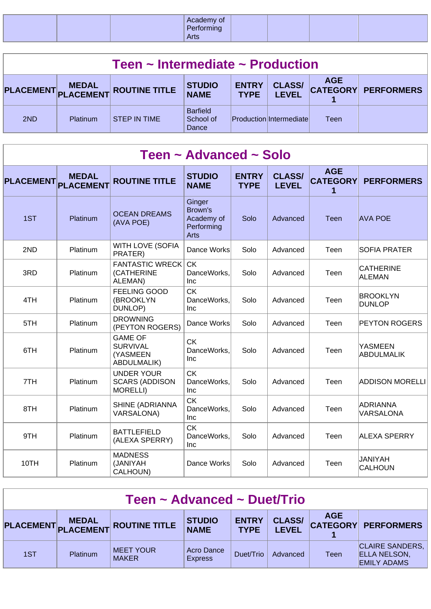| ା Acau      | demy or |
|-------------|---------|
| <b>Arts</b> | $\sim$  |

| Teen $\sim$ Intermediate $\sim$ Production |          |                                            |                                       |                             |                               |            |                     |  |  |
|--------------------------------------------|----------|--------------------------------------------|---------------------------------------|-----------------------------|-------------------------------|------------|---------------------|--|--|
|                                            |          | PLACEMENT MEDAL<br>PLACEMENT ROUTINE TITLE | <b>STUDIO</b><br><b>NAME</b>          | <b>ENTRY</b><br><b>TYPE</b> | <b>CLASS/</b><br><b>LEVEL</b> | <b>AGE</b> | CATEGORY PERFORMERS |  |  |
| 2ND                                        | Platinum | <b>STEP IN TIME</b>                        | <b>Barfield</b><br>School of<br>Dance |                             | Production Intermediate       | Teen       |                     |  |  |

|                  |                                  |                                                                     | Teen ~ Advanced ~ Solo                                |                             |                               |                                    |                                     |
|------------------|----------------------------------|---------------------------------------------------------------------|-------------------------------------------------------|-----------------------------|-------------------------------|------------------------------------|-------------------------------------|
| <b>PLACEMENT</b> | <b>MEDAL</b><br><b>PLACEMENT</b> | <b>ROUTINE TITLE</b>                                                | <b>STUDIO</b><br><b>NAME</b>                          | <b>ENTRY</b><br><b>TYPE</b> | <b>CLASS/</b><br><b>LEVEL</b> | <b>AGE</b><br><b>CATEGORY</b><br>1 | <b>PERFORMERS</b>                   |
| 1ST              | Platinum                         | <b>OCEAN DREAMS</b><br>(AVA POE)                                    | Ginger<br>Brown's<br>Academy of<br>Performing<br>Arts | Solo                        | Advanced                      | <b>Teen</b>                        | <b>AVA POE</b>                      |
| 2ND              | Platinum                         | <b>WITH LOVE (SOFIA</b><br>PRATER)                                  | Dance Works                                           | Solo                        | Advanced                      | Teen                               | <b>SOFIA PRATER</b>                 |
| 3RD              | Platinum                         | <b>FANTASTIC WRECK</b><br>(CATHERINE<br>ALEMAN)                     | <b>CK</b><br>DanceWorks,<br>Inc                       | Solo                        | Advanced                      | Teen                               | <b>CATHERINE</b><br>ALEMAN          |
| 4TH              | Platinum                         | <b>FEELING GOOD</b><br>(BROOKLYN<br>DUNLOP)                         | <b>CK</b><br>DanceWorks,<br>Inc                       | Solo                        | Advanced                      | Teen                               | <b>BROOKLYN</b><br>DUNLOP           |
| 5TH              | Platinum                         | <b>DROWNING</b><br>(PEYTON ROGERS)                                  | Dance Works                                           | Solo                        | Advanced                      | Teen                               | <b>PEYTON ROGERS</b>                |
| 6TH              | Platinum                         | <b>GAME OF</b><br><b>SURVIVAL</b><br>(YASMEEN<br><b>ABDULMALIK)</b> | <b>CK</b><br>DanceWorks,<br>Inc                       | Solo                        | Advanced                      | Teen                               | <b>YASMEEN</b><br><b>ABDULMALIK</b> |
| 7TH              | Platinum                         | <b>UNDER YOUR</b><br><b>SCARS (ADDISON</b><br><b>MORELLI)</b>       | <b>CK</b><br>DanceWorks,<br>Inc                       | Solo                        | Advanced                      | Teen                               | <b>ADDISON MORELLI</b>              |
| 8TH              | Platinum                         | SHINE (ADRIANNA<br><b>VARSALONA)</b>                                | <b>CK</b><br>DanceWorks,<br>Inc                       | Solo                        | Advanced                      | Teen                               | ADRIANNA<br><b>VARSALONA</b>        |
| 9TH              | Platinum                         | <b>BATTLEFIELD</b><br>(ALEXA SPERRY)                                | <b>CK</b><br>DanceWorks,<br>Inc                       | Solo                        | Advanced                      | Teen                               | <b>ALEXA SPERRY</b>                 |
| 10TH             | Platinum                         | <b>MADNESS</b><br>(JANIYAH<br>CALHOUN)                              | Dance Works                                           | Solo                        | Advanced                      | Teen                               | <b>JANIYAH</b><br><b>CALHOUN</b>    |

| Teen ~ Advanced ~ Duet/Trio |          |                                  |                              |                             |                               |            |                                                                     |  |  |
|-----------------------------|----------|----------------------------------|------------------------------|-----------------------------|-------------------------------|------------|---------------------------------------------------------------------|--|--|
|                             |          | PLACEMENT MEDAL ROUTINE TITLE    | <b>STUDIO</b><br><b>NAME</b> | <b>ENTRY</b><br><b>TYPE</b> | <b>CLASS/</b><br><b>LEVEL</b> | <b>AGE</b> | CATEGORY PERFORMERS                                                 |  |  |
| 1ST                         | Platinum | <b>MEET YOUR</b><br><b>MAKER</b> | Acro Dance<br><b>Express</b> | Duet/Trio                   | Advanced                      | Teen       | <b>CLAIRE SANDERS,</b><br><b>ELLA NELSON,</b><br><b>EMILY ADAMS</b> |  |  |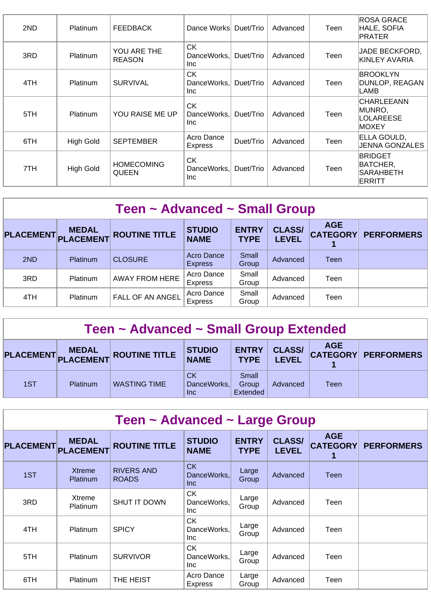| 2ND | <b>Platinum</b>  | <b>FEEDBACK</b>                   | Dance Works                            | Duet/Trio | Advanced | Teen | <b>ROSA GRACE</b><br>HALE, SOFIA<br>PRATER               |
|-----|------------------|-----------------------------------|----------------------------------------|-----------|----------|------|----------------------------------------------------------|
| 3RD | Platinum         | YOU ARE THE<br><b>REASON</b>      | <b>CK</b><br>DanceWorks,<br>Inc.       | Duet/Trio | Advanced | Teen | <b>JADE BECKFORD,</b><br>KINLEY AVARIA                   |
| 4TH | <b>Platinum</b>  | <b>SURVIVAL</b>                   | <b>CK</b><br>DanceWorks.<br>Inc.       | Duet/Trio | Advanced | Teen | <b>BROOKLYN</b><br>DUNLOP, REAGAN<br>LAMB                |
| 5TH | <b>Platinum</b>  | YOU RAISE ME UP                   | <b>CK</b><br>DanceWorks,<br><b>Inc</b> | Duet/Trio | Advanced | Teen | <b>CHARLEEANN</b><br>MUNRO,<br>LOLAREESE<br>IMOXEY       |
| 6TH | <b>High Gold</b> | <b>SEPTEMBER</b>                  | Acro Dance<br>Express                  | Duet/Trio | Advanced | Teen | ELLA GOULD,<br><b>JENNA GONZALES</b>                     |
| 7TH | <b>High Gold</b> | <b>HOMECOMING</b><br><b>QUEEN</b> | <b>CK</b><br>DanceWorks.<br>Inc        | Duet/Trio | Advanced | Teen | <b>BRIDGET</b><br>BATCHER,<br><b>SARAHBETH</b><br>ERRITT |

| Teen ~ Advanced ~ Small Group |                 |                       |                                     |                             |                               |             |                            |  |  |  |
|-------------------------------|-----------------|-----------------------|-------------------------------------|-----------------------------|-------------------------------|-------------|----------------------------|--|--|--|
| PLACEMENT PLACEMENT           | <b>MEDAL</b>    | <b>ROUTINE TITLE</b>  | <b>STUDIO</b><br><b>NAME</b>        | <b>ENTRY</b><br><b>TYPE</b> | <b>CLASS/</b><br><b>LEVEL</b> | <b>AGE</b>  | <b>CATEGORY PERFORMERS</b> |  |  |  |
| 2ND                           | <b>Platinum</b> | <b>CLOSURE</b>        | <b>Acro Dance</b><br><b>Express</b> | Small<br>Group              | Advanced                      | <b>Teen</b> |                            |  |  |  |
| 3RD                           | <b>Platinum</b> | <b>AWAY FROM HERE</b> | Acro Dance<br><b>Express</b>        | Small<br>Group              | Advanced                      | Teen        |                            |  |  |  |
| 4TH                           | Platinum        | FALL OF AN ANGEL      | Acro Dance<br><b>Express</b>        | Small<br>Group              | Advanced                      | Teen        |                            |  |  |  |

| Teen ~ Advanced ~ Small Group Extended |
|----------------------------------------|
|----------------------------------------|

|     | <b>MEDAL</b> | PLACEMENT PLACEMENT ROUTINE TITLE | <b>STUDIO</b><br><b>NAME</b>    | <b>ENTRY</b><br><b>TYPE</b> | <b>CLASS/</b><br><b>LEVEL</b> | <b>AGE</b> | <b>CATEGORY PERFORMERS</b> |
|-----|--------------|-----------------------------------|---------------------------------|-----------------------------|-------------------------------|------------|----------------------------|
| 1ST | Platinum     | <b>WASTING TIME</b>               | СK<br>DanceWorks,<br><b>Inc</b> | Small<br>Group<br>Extended  | Advanced                      | Teen       |                            |

| Teen ~ Advanced ~ Large Group |                                  |                                   |                                        |                             |                               |                               |                   |  |  |  |
|-------------------------------|----------------------------------|-----------------------------------|----------------------------------------|-----------------------------|-------------------------------|-------------------------------|-------------------|--|--|--|
| <b>PLACEMENT</b>              | <b>MEDAL</b><br><b>PLACEMENT</b> | <b>ROUTINE TITLE</b>              | <b>STUDIO</b><br><b>NAME</b>           | <b>ENTRY</b><br><b>TYPE</b> | <b>CLASS/</b><br><b>LEVEL</b> | <b>AGE</b><br><b>CATEGORY</b> | <b>PERFORMERS</b> |  |  |  |
| 1ST                           | Xtreme<br><b>Platinum</b>        | <b>RIVERS AND</b><br><b>ROADS</b> | <b>CK</b><br>DanceWorks,<br><b>Inc</b> | Large<br>Group              | Advanced                      | <b>Teen</b>                   |                   |  |  |  |
| 3RD                           | Xtreme<br><b>Platinum</b>        | <b>SHUT IT DOWN</b>               | <b>CK</b><br>DanceWorks,<br>Inc.       | Large<br>Group              | Advanced                      | Teen                          |                   |  |  |  |
| 4TH                           | <b>Platinum</b>                  | <b>SPICY</b>                      | <b>CK</b><br>DanceWorks,<br>Inc.       | Large<br>Group              | Advanced                      | Teen                          |                   |  |  |  |
| 5TH                           | <b>Platinum</b>                  | <b>SURVIVOR</b>                   | CK.<br>DanceWorks.<br>Inc.             | Large<br>Group              | Advanced                      | Teen                          |                   |  |  |  |
| 6TH                           | <b>Platinum</b>                  | THE HEIST                         | Acro Dance<br><b>Express</b>           | Large<br>Group              | Advanced                      | Teen                          |                   |  |  |  |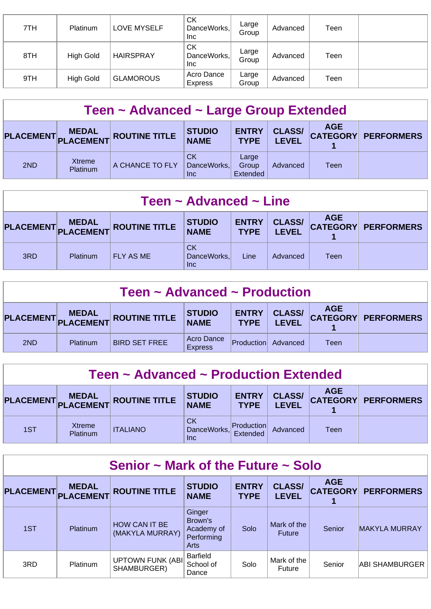| 7TH | Platinum         | <b>LOVE MYSELF</b> | <b>CK</b><br>DanceWorks,<br>Inc | Large<br>Group | Advanced | Teen |  |
|-----|------------------|--------------------|---------------------------------|----------------|----------|------|--|
| 8TH | <b>High Gold</b> | <b>HAIRSPRAY</b>   | СK<br>DanceWorks,<br><b>Inc</b> | Large<br>Group | Advanced | Teen |  |
| 9TH | High Gold        | <b>GLAMOROUS</b>   | Acro Dance<br><b>Express</b>    | Large<br>Group | Advanced | Teen |  |

| Teen ~ Advanced ~ Large Group Extended |                    |                               |                                 |                             |                               |            |                     |  |  |
|----------------------------------------|--------------------|-------------------------------|---------------------------------|-----------------------------|-------------------------------|------------|---------------------|--|--|
|                                        |                    | PLACEMENT MEDAL ROUTINE TITLE | <b>STUDIO</b><br><b>NAME</b>    | <b>ENTRY</b><br><b>TYPE</b> | <b>CLASS/</b><br><b>LEVEL</b> | <b>AGE</b> | CATEGORY PERFORMERS |  |  |
| 2ND                                    | Xtreme<br>Platinum | A CHANCE TO FLY               | <b>CK</b><br>DanceWorks,<br>Inc | Large<br>Group<br>Extended  | Advanced                      | Teen       |                     |  |  |

| Teen $\sim$ Advanced $\sim$ Line                                                                                                                                                       |          |                  |                                 |      |          |      |  |  |
|----------------------------------------------------------------------------------------------------------------------------------------------------------------------------------------|----------|------------------|---------------------------------|------|----------|------|--|--|
| <b>AGE</b><br><b>CLASS/</b><br><b>ENTRY</b><br><b>STUDIO</b><br>PLACEMENT MEDAL<br>PLACEMENT ROUTINE TITLE<br><b>CATEGORY PERFORMERS</b><br><b>NAME</b><br><b>LEVEL</b><br><b>TYPE</b> |          |                  |                                 |      |          |      |  |  |
| 3RD                                                                                                                                                                                    | Platinum | <b>FLY AS ME</b> | CK<br>DanceWorks,<br><b>Inc</b> | Line | Advanced | Teen |  |  |

| Teen $\sim$ Advanced $\sim$ Production                                                                                                                             |          |                      |                              |            |          |      |  |  |  |
|--------------------------------------------------------------------------------------------------------------------------------------------------------------------|----------|----------------------|------------------------------|------------|----------|------|--|--|--|
| <b>AGE</b><br><b>CLASS/</b><br><b>ENTRY</b><br><b>STUDIO</b><br>PLACEMENT MEDAL ROUTINE TITLE<br>CATEGORY PERFORMERS<br><b>NAME</b><br><b>TYPE</b><br><b>LEVEL</b> |          |                      |                              |            |          |      |  |  |  |
| 2ND                                                                                                                                                                | Platinum | <b>BIRD SET FREE</b> | Acro Dance<br><b>Express</b> | Production | Advanced | Teen |  |  |  |

| Teen ~ Advanced ~ Production Extended |                    |                                  |                                 |                               |                               |            |                     |  |  |
|---------------------------------------|--------------------|----------------------------------|---------------------------------|-------------------------------|-------------------------------|------------|---------------------|--|--|
| PLACEMENT,                            |                    | MEDAL<br>PLACEMENT ROUTINE TITLE | <b>STUDIO</b><br><b>NAME</b>    | <b>ENTRY</b><br><b>TYPE</b>   | <b>CLASS/</b><br><b>LEVEL</b> | <b>AGE</b> | CATEGORY PERFORMERS |  |  |
| 1ST                                   | Xtreme<br>Platinum | <b>ITALIANO</b>                  | <b>CK</b><br>DanceWorks,<br>Inc | <b>Production</b><br>Extended | Advanced                      | Teen       |                     |  |  |

| Senior $\sim$ Mark of the Future $\sim$ Solo |                                  |                                         |                                                       |                             |                               |                               |                      |  |  |  |
|----------------------------------------------|----------------------------------|-----------------------------------------|-------------------------------------------------------|-----------------------------|-------------------------------|-------------------------------|----------------------|--|--|--|
| <b>PLACEMENT</b>                             | <b>MEDAL</b><br><b>PLACEMENT</b> | <b>ROUTINE TITLE</b>                    | <b>STUDIO</b><br><b>NAME</b>                          | <b>ENTRY</b><br><b>TYPE</b> | <b>CLASS/</b><br><b>LEVEL</b> | <b>AGE</b><br><b>CATEGORY</b> | <b>PERFORMERS</b>    |  |  |  |
| 1ST                                          | Platinum                         | <b>HOW CAN IT BE</b><br>(MAKYLA MURRAY) | Ginger<br>Brown's<br>Academy of<br>Performing<br>Arts | Solo                        | Mark of the<br><b>Future</b>  | Senior                        | <b>MAKYLA MURRAY</b> |  |  |  |
| 3RD                                          | Platinum                         | <b>UPTOWN FUNK (ABI)</b><br>SHAMBURGER) | <b>Barfield</b><br>School of<br>Dance                 | Solo                        | Mark of the<br>Future         | Senior                        | ABI SHAMBURGER       |  |  |  |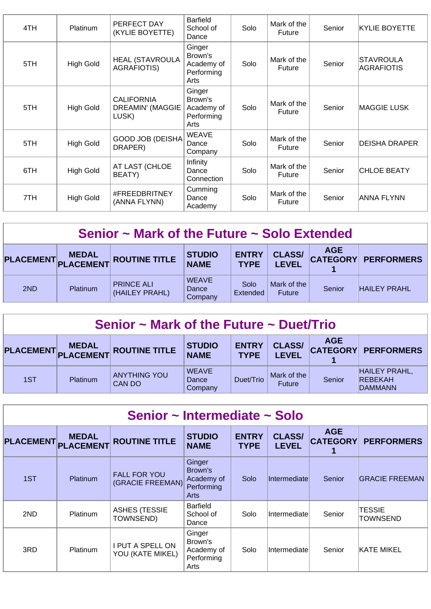| 4TH | <b>Platinum</b>  | PERFECT DAY<br>(KYLIE BOYETTE)                        | <b>Barfield</b><br>School of<br>Dance                 | Solo | Mark of the<br><b>Future</b> | Senior | <b>KYLIE BOYETTE</b>    |
|-----|------------------|-------------------------------------------------------|-------------------------------------------------------|------|------------------------------|--------|-------------------------|
| 5TH | <b>High Gold</b> | <b>HEAL (STAVROULA</b><br><b>AGRAFIOTIS)</b>          | Ginger<br>Brown's<br>Academy of<br>Performing<br>Arts | Solo | Mark of the<br><b>Future</b> | Senior | STAVROULA<br>AGRAFIOTIS |
| 5TH | High Gold        | <b>CALIFORNIA</b><br><b>DREAMIN' (MAGGIE</b><br>LUSK) | Ginger<br>Brown's<br>Academy of<br>Performing<br>Arts | Solo | Mark of the<br><b>Future</b> | Senior | <b>MAGGIE LUSK</b>      |
| 5TH | <b>High Gold</b> | <b>GOOD JOB (DEISHA</b><br>DRAPER)                    | <b>WEAVE</b><br>Dance<br>Company                      | Solo | Mark of the<br><b>Future</b> | Senior | IDEISHA DRAPER          |
| 6TH | <b>High Gold</b> | AT LAST (CHLOE<br>BEATY)                              | Infinity<br>Dance<br>Connection                       | Solo | Mark of the<br><b>Future</b> | Senior | <b>CHLOE BEATY</b>      |
| 7TH | <b>High Gold</b> | #FREEDBRITNEY<br>(ANNA FLYNN)                         | Cumming<br>Dance<br>Academy                           | Solo | Mark of the<br>Future        | Senior | ANNA FLYNN              |

#### **Senior ~ Mark of the Future ~ Solo Extended**

|     | <b>MEDAL</b>    | PLACEMENT PLACEMENT ROUTINE TITLE   | <b>STUDIO</b><br><b>NAME</b>     | <b>ENTRY</b><br><b>TYPE</b> | <b>CLASS/</b><br><b>LEVEL</b> | <b>AGE</b> | <b>CATEGORY PERFORMERS</b> |
|-----|-----------------|-------------------------------------|----------------------------------|-----------------------------|-------------------------------|------------|----------------------------|
| 2ND | <b>Platinum</b> | <b>PRINCE ALI</b><br>(HAILEY PRAHL) | <b>WEAVE</b><br>Dance<br>Company | Solo<br>Extended            | Mark of the<br>Future         | Senior     | <b>HAILEY PRAHL</b>        |

| Senior $\sim$ Mark of the Future $\sim$ Duet/Trio |              |                                   |                                  |                             |                               |            |                                                          |  |  |
|---------------------------------------------------|--------------|-----------------------------------|----------------------------------|-----------------------------|-------------------------------|------------|----------------------------------------------------------|--|--|
|                                                   | <b>MEDAL</b> | PLACEMENT PLACEMENT ROUTINE TITLE | <b>STUDIO</b><br><b>NAME</b>     | <b>ENTRY</b><br><b>TYPE</b> | <b>CLASS/</b><br><b>LEVEL</b> | <b>AGE</b> | CATEGORY PERFORMERS                                      |  |  |
| 1ST                                               | Platinum     | <b>ANYTHING YOU</b><br>CAN DO     | <b>WEAVE</b><br>Dance<br>Company | Duet/Trio                   | Mark of the<br><b>Future</b>  | Senior     | <b>HAILEY PRAHL,</b><br><b>REBEKAH</b><br><b>DAMMANN</b> |  |  |

| Senior ~ Intermediate ~ Solo |                                  |                                             |                                                              |                             |                               |                               |                       |  |  |  |
|------------------------------|----------------------------------|---------------------------------------------|--------------------------------------------------------------|-----------------------------|-------------------------------|-------------------------------|-----------------------|--|--|--|
| <b>PLACEMENT</b>             | <b>MEDAL</b><br><b>PLACEMENT</b> | <b>ROUTINE TITLE</b>                        | <b>STUDIO</b><br><b>NAME</b>                                 | <b>ENTRY</b><br><b>TYPE</b> | <b>CLASS/</b><br><b>LEVEL</b> | <b>AGE</b><br><b>CATEGORY</b> | <b>PERFORMERS</b>     |  |  |  |
| 1ST                          | <b>Platinum</b>                  | <b>FALL FOR YOU</b><br>(GRACIE FREEMAN)     | Ginger<br>Brown's<br>Academy of<br>Performing<br><b>Arts</b> | Solo                        | <b>Intermediatel</b>          | Senior                        | <b>GRACIE FREEMAN</b> |  |  |  |
| 2ND                          | <b>Platinum</b>                  | <b>ASHES (TESSIE</b><br>TOWNSEND)           | <b>Barfield</b><br>School of<br>Dance                        | Solo                        | Intermediate                  | Senior                        | TESSIE<br>TOWNSEND    |  |  |  |
| 3RD                          | <b>Platinum</b>                  | <b>I PUT A SPELL ON</b><br>YOU (KATE MIKEL) | Ginger<br>Brown's<br>Academy of<br>Performing<br>Arts        | Solo                        | Intermediate                  | Senior                        | KATE MIKEL            |  |  |  |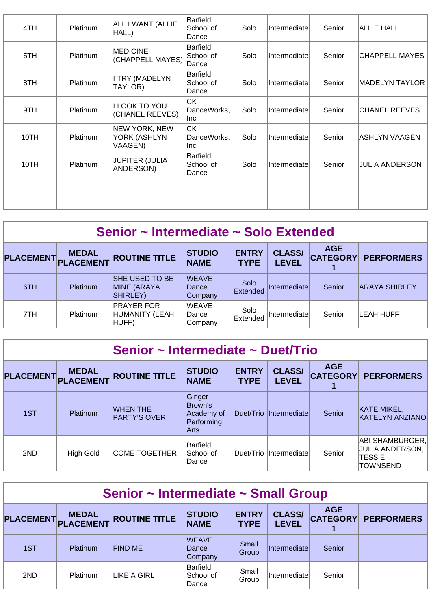| 4TH  | Platinum        | ALL I WANT (ALLIE<br>HALL)               | <b>Barfield</b><br>School of<br>Dance | Solo | Intermediate  | Senior | <b>ALLIE HALL</b> |
|------|-----------------|------------------------------------------|---------------------------------------|------|---------------|--------|-------------------|
| 5TH  | <b>Platinum</b> | <b>MEDICINE</b><br>(CHAPPELL MAYES)      | <b>Barfield</b><br>School of<br>Dance | Solo | Intermediatel | Senior | ICHAPPELL MAYES   |
| 8TH  | Platinum        | <b>I TRY (MADELYN</b><br>TAYLOR)         | <b>Barfield</b><br>School of<br>Dance | Solo | Intermediate  | Senior | MADELYN TAYLOR    |
| 9TH  | Platinum        | I LOOK TO YOU<br>(CHANEL REEVES)         | <b>CK</b><br>DanceWorks,<br>Inc.      | Solo | Intermediate  | Senior | CHANEL REEVES     |
| 10TH | Platinum        | NEW YORK, NEW<br>YORK (ASHLYN<br>VAAGEN) | CK.<br>DanceWorks,<br>Inc             | Solo | Intermediate  | Senior | ASHLYN VAAGEN     |
| 10TH | Platinum        | <b>JUPITER (JULIA</b><br>ANDERSON)       | <b>Barfield</b><br>School of<br>Dance | Solo | Intermediatel | Senior | JULIA ANDERSON    |
|      |                 |                                          |                                       |      |               |        |                   |
|      |                 |                                          |                                       |      |               |        |                   |

#### **Senior ~ Intermediate ~ Solo Extended**

| PLACEMENT PLACEMENT | <b>MEDAL</b>    | <b>ROUTINE TITLE</b>                             | <b>STUDIO</b><br><b>NAME</b>     | <b>ENTRY</b><br><b>TYPE</b> | <b>CLASS/</b><br><b>LEVEL</b> | <b>AGE</b><br><b>CATEGORY</b> | <b>PERFORMERS</b>    |
|---------------------|-----------------|--------------------------------------------------|----------------------------------|-----------------------------|-------------------------------|-------------------------------|----------------------|
| 6TH                 | <b>Platinum</b> | SHE USED TO BE<br><b>MINE (ARAYA</b><br>SHIRLEY) | <b>WEAVE</b><br>Dance<br>Company | Solo<br>Extended            | Intermediate                  | Senior                        | <b>ARAYA SHIRLEY</b> |
| 7TH                 | <b>Platinum</b> | <b>PRAYER FOR</b><br>HUMANITY (LEAH<br>HUFF)     | <b>WEAVE</b><br>Dance<br>Company | Solo<br>Extended            | Intermediate                  | Senior                        | LEAH HUFF            |

| Senior ~ Intermediate ~ Duet/Trio |                           |                                        |                                                       |                             |                               |                               |                                                                        |  |  |
|-----------------------------------|---------------------------|----------------------------------------|-------------------------------------------------------|-----------------------------|-------------------------------|-------------------------------|------------------------------------------------------------------------|--|--|
| <b>PLACEMENT</b>                  | <b>MEDAL</b><br>PLACEMENT | <b>ROUTINE TITLE</b>                   | <b>STUDIO</b><br><b>NAME</b>                          | <b>ENTRY</b><br><b>TYPE</b> | <b>CLASS/</b><br><b>LEVEL</b> | <b>AGE</b><br><b>CATEGORY</b> | <b>PERFORMERS</b>                                                      |  |  |
| 1ST                               | <b>Platinum</b>           | <b>WHEN THE</b><br><b>PARTY'S OVER</b> | Ginger<br>Brown's<br>Academy of<br>Performing<br>Arts | Duet/Trio                   | Intermediate                  | Senior                        | KATE MIKEL,<br><b>KATELYN ANZIANO</b>                                  |  |  |
| 2ND                               | High Gold                 | <b>COME TOGETHER</b>                   | Barfield<br>School of<br>Dance                        | Duet/Trio                   | <i>Intermediate</i>           | Senior                        | ABI SHAMBURGER,<br>JULIA ANDERSON.<br><b>TESSIE</b><br><b>TOWNSEND</b> |  |  |

| Senior ~ Intermediate ~ Small Group |                           |                      |                                  |                             |                               |                               |                   |  |  |  |
|-------------------------------------|---------------------------|----------------------|----------------------------------|-----------------------------|-------------------------------|-------------------------------|-------------------|--|--|--|
| <b>PLACEMENT</b>                    | <b>MEDAL</b><br>PLACEMENT | <b>ROUTINE TITLE</b> | <b>STUDIO</b><br><b>NAME</b>     | <b>ENTRY</b><br><b>TYPE</b> | <b>CLASS/</b><br><b>LEVEL</b> | <b>AGE</b><br><b>CATEGORY</b> | <b>PERFORMERS</b> |  |  |  |
| 1ST                                 | Platinum                  | <b>FIND ME</b>       | <b>WEAVE</b><br>Dance<br>Company | Small<br>Group              | <i>Intermediate</i>           | Senior                        |                   |  |  |  |
| 2ND                                 | Platinum                  | LIKE A GIRL          | Barfield<br>School of<br>Dance   | Small<br>Group              | Intermediate                  | Senior                        |                   |  |  |  |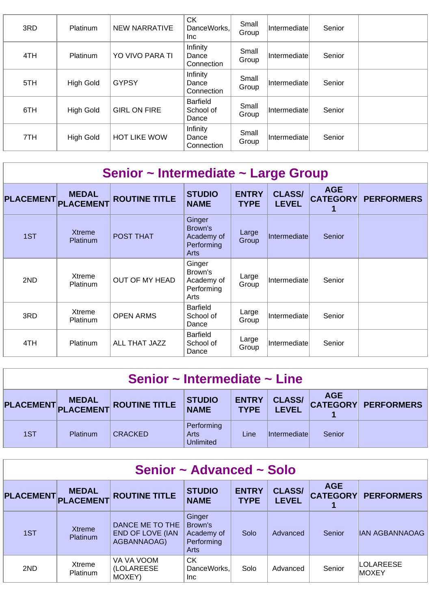| 3RD | <b>Platinum</b>  | <b>NEW NARRATIVE</b> | <b>CK</b><br>DanceWorks,<br>Inc       | Small<br>Group | <b>Intermediate</b> | Senior |  |
|-----|------------------|----------------------|---------------------------------------|----------------|---------------------|--------|--|
| 4TH | <b>Platinum</b>  | YO VIVO PARA TI      | Infinity<br>Dance<br>Connection       | Small<br>Group | <b>Intermediate</b> | Senior |  |
| 5TH | <b>High Gold</b> | <b>GYPSY</b>         | Infinity<br>Dance<br>Connection       | Small<br>Group | <i>Intermediate</i> | Senior |  |
| 6TH | <b>High Gold</b> | <b>GIRL ON FIRE</b>  | <b>Barfield</b><br>School of<br>Dance | Small<br>Group | Intermediate        | Senior |  |
| 7TH | <b>High Gold</b> | <b>HOT LIKE WOW</b>  | Infinity<br>Dance<br>Connection       | Small<br>Group | <i>Intermediate</i> | Senior |  |

| Senior ~ Intermediate ~ Large Group |                                  |                       |                                                       |                             |                               |                               |                   |  |  |  |  |
|-------------------------------------|----------------------------------|-----------------------|-------------------------------------------------------|-----------------------------|-------------------------------|-------------------------------|-------------------|--|--|--|--|
| <b>PLACEMENT</b>                    | <b>MEDAL</b><br><b>PLACEMENT</b> | <b>ROUTINE TITLE</b>  | <b>STUDIO</b><br><b>NAME</b>                          | <b>ENTRY</b><br><b>TYPE</b> | <b>CLASS/</b><br><b>LEVEL</b> | <b>AGE</b><br><b>CATEGORY</b> | <b>PERFORMERS</b> |  |  |  |  |
| 1ST                                 | <b>Xtreme</b><br><b>Platinum</b> | <b>POST THAT</b>      | Ginger<br>Brown's<br>Academy of<br>Performing<br>Arts | Large<br>Group              | Intermediate                  | Senior                        |                   |  |  |  |  |
| 2ND                                 | Xtreme<br><b>Platinum</b>        | <b>OUT OF MY HEAD</b> | Ginger<br>Brown's<br>Academy of<br>Performing<br>Arts | Large<br>Group              | Intermediate                  | Senior                        |                   |  |  |  |  |
| 3RD                                 | Xtreme<br>Platinum               | <b>OPEN ARMS</b>      | Barfield<br>School of<br>Dance                        | Large<br>Group              | Intermediate                  | Senior                        |                   |  |  |  |  |
| 4TH                                 | Platinum                         | ALL THAT JAZZ         | <b>Barfield</b><br>School of<br>Dance                 | Large<br>Group              | Intermediatel                 | Senior                        |                   |  |  |  |  |

| Senior $\sim$ Intermediate $\sim$ Line                                                                                                                                    |          |                |                                 |      |                     |        |  |  |  |
|---------------------------------------------------------------------------------------------------------------------------------------------------------------------------|----------|----------------|---------------------------------|------|---------------------|--------|--|--|--|
| <b>AGE</b><br><b>CLASS/</b><br><b>ENTRY</b><br><b>STUDIO</b><br>PLACEMENT MEDAL ROUTINE TITLE<br><b>CATEGORY PERFORMERS</b><br><b>NAME</b><br><b>LEVEL</b><br><b>TYPE</b> |          |                |                                 |      |                     |        |  |  |  |
| 1ST                                                                                                                                                                       | Platinum | <b>CRACKED</b> | Performing<br>Arts<br>Unlimited | Line | <i>Intermediate</i> | Senior |  |  |  |

| Senior ~ Advanced ~ Solo |                           |                                                           |                                                       |                             |                               |                               |                                   |  |  |
|--------------------------|---------------------------|-----------------------------------------------------------|-------------------------------------------------------|-----------------------------|-------------------------------|-------------------------------|-----------------------------------|--|--|
| <b>PLACEMENT</b>         | <b>MEDAL</b><br>PLACEMENT | <b>ROUTINE TITLE</b>                                      | <b>STUDIO</b><br><b>NAME</b>                          | <b>ENTRY</b><br><b>TYPE</b> | <b>CLASS/</b><br><b>LEVEL</b> | <b>AGE</b><br><b>CATEGORY</b> | <b>PERFORMERS</b>                 |  |  |
| 1ST                      | <b>Xtreme</b><br>Platinum | DANCE ME TO THE<br><b>END OF LOVE (IAN</b><br>AGBANNAOAG) | Ginger<br>Brown's<br>Academy of<br>Performing<br>Arts | Solo                        | Advanced                      | Senior                        | IAN AGBANNAOAG                    |  |  |
| 2ND                      | Xtreme<br>Platinum        | VA VA VOOM<br><b>(LOLAREESE)</b><br>MOXEY)                | <b>CK</b><br>DanceWorks,<br>Inc.                      | Solo                        | Advanced                      | Senior                        | <b>LOLAREESE</b><br><b>IMOXEY</b> |  |  |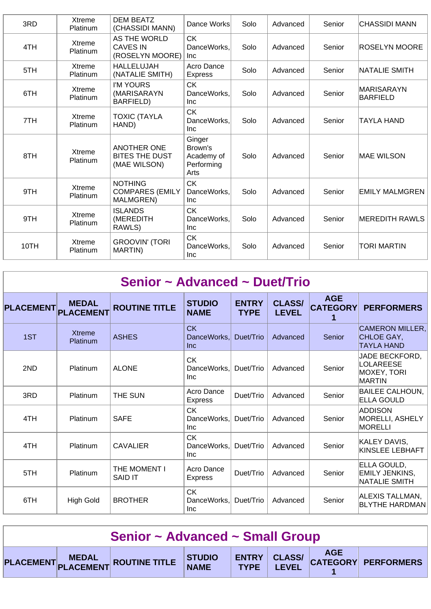| 3RD  | Xtreme<br>Platinum | <b>DEM BEATZ</b><br>(CHASSIDI MANN)                          | Dance Works                                           | Solo | Advanced | Senior | CHASSIDI MANN          |
|------|--------------------|--------------------------------------------------------------|-------------------------------------------------------|------|----------|--------|------------------------|
| 4TH  | Xtreme<br>Platinum | AS THE WORLD<br><b>CAVES IN</b><br>(ROSELYN MOORE)           | <b>CK</b><br>DanceWorks.<br><b>Inc</b>                | Solo | Advanced | Senior | <b>ROSELYN MOORE</b>   |
| 5TH  | Xtreme<br>Platinum | <b>HALLELUJAH</b><br>(NATALIE SMITH)                         | Acro Dance<br><b>Express</b>                          | Solo | Advanced | Senior | NATALIE SMITH          |
| 6TH  | Xtreme<br>Platinum | I'M YOURS<br>(MARISARAYN<br>BARFIELD)                        | <b>CK</b><br>DanceWorks.<br><b>Inc</b>                | Solo | Advanced | Senior | MARISARAYN<br>BARFIELD |
| 7TH  | Xtreme<br>Platinum | <b>TOXIC (TAYLA</b><br>HAND)                                 | <b>CK</b><br>DanceWorks.<br><b>Inc</b>                | Solo | Advanced | Senior | ITAYLA HAND            |
| 8TH  | Xtreme<br>Platinum | <b>ANOTHER ONE</b><br><b>BITES THE DUST</b><br>(MAE WILSON)  | Ginger<br>Brown's<br>Academy of<br>Performing<br>Arts | Solo | Advanced | Senior | <b>MAE WILSON</b>      |
| 9TH  | Xtreme<br>Platinum | <b>NOTHING</b><br><b>COMPARES (EMILY</b><br><b>MALMGREN)</b> | <b>CK</b><br>DanceWorks,<br><b>Inc</b>                | Solo | Advanced | Senior | <b>EMILY MALMGREN</b>  |
| 9TH  | Xtreme<br>Platinum | <b>ISLANDS</b><br>(MEREDITH<br>RAWLS)                        | <b>CK</b><br>DanceWorks,<br><b>Inc</b>                | Solo | Advanced | Senior | MEREDITH RAWLS         |
| 10TH | Xtreme<br>Platinum | <b>GROOVIN' (TORI</b><br>MARTIN)                             | <b>CK</b><br>DanceWorks,<br><b>Inc</b>                | Solo | Advanced | Senior | TORI MARTIN            |

| Senior ~ Advanced ~ Duet/Trio |                                  |                                |                                        |                             |                               |                                    |                                                                    |  |  |
|-------------------------------|----------------------------------|--------------------------------|----------------------------------------|-----------------------------|-------------------------------|------------------------------------|--------------------------------------------------------------------|--|--|
| <b>PLACEMENT</b>              | <b>MEDAL</b><br><b>PLACEMENT</b> | <b>ROUTINE TITLE</b>           | <b>STUDIO</b><br><b>NAME</b>           | <b>ENTRY</b><br><b>TYPE</b> | <b>CLASS/</b><br><b>LEVEL</b> | <b>AGE</b><br><b>CATEGORY</b><br>1 | <b>PERFORMERS</b>                                                  |  |  |
| 1ST                           | <b>Xtreme</b><br>Platinum        | <b>ASHES</b>                   | <b>CK</b><br>DanceWorks.<br><b>Inc</b> | Duet/Trio                   | Advanced                      | Senior                             | CAMERON MILLER,<br>CHLOE GAY,<br><b>TAYLA HAND</b>                 |  |  |
| 2ND                           | Platinum                         | <b>ALONE</b>                   | <b>CK</b><br>DanceWorks.<br><b>Inc</b> | Duet/Trio                   | Advanced                      | Senior                             | <b>JADE BECKFORD,</b><br>LOLAREESE<br><b>MOXEY, TORI</b><br>MARTIN |  |  |
| 3RD                           | Platinum                         | THE SUN                        | Acro Dance<br><b>Express</b>           | Duet/Trio                   | Advanced                      | Senior                             | BAILEE CALHOUN,<br><b>ELLA GOULD</b>                               |  |  |
| 4TH                           | Platinum                         | <b>SAFE</b>                    | <b>CK</b><br>DanceWorks.<br><b>Inc</b> | Duet/Trio                   | Advanced                      | Senior                             | ADDISON<br>MORELLI, ASHELY<br><b>MORELLI</b>                       |  |  |
| 4TH                           | Platinum                         | <b>CAVALIER</b>                | <b>CK</b><br>DanceWorks,<br>Inc        | Duet/Trio                   | Advanced                      | Senior                             | KALEY DAVIS,<br>KINSLEE LEBHAFT                                    |  |  |
| 5TH                           | Platinum                         | THE MOMENT I<br><b>SAID IT</b> | Acro Dance<br><b>Express</b>           | Duet/Trio                   | Advanced                      | Senior                             | ELLA GOULD,<br>EMILY JENKINS,<br><b>NATALIE SMITH</b>              |  |  |
| 6TH                           | <b>High Gold</b>                 | <b>BROTHER</b>                 | <b>CK</b><br>DanceWorks,<br><b>Inc</b> | Duet/Trio                   | Advanced                      | Senior                             | ALEXIS TALLMAN,<br><b>BLYTHE HARDMAN</b>                           |  |  |

| Senior ~ Advanced ~ Small Group |  |                                                                      |  |  |  |  |  |  |
|---------------------------------|--|----------------------------------------------------------------------|--|--|--|--|--|--|
|                                 |  | PLACEMENT MEDAL ROUTINE TITLE STUDIO ENTRY CLASS/ AGE AGE PERFORMERS |  |  |  |  |  |  |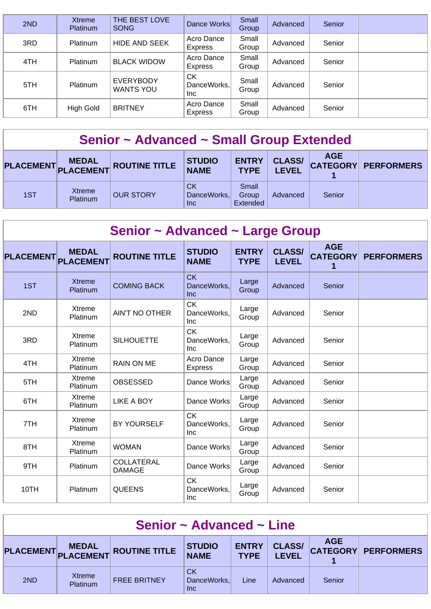| 2ND | <b>Xtreme</b><br>Platinum | THE BEST LOVE<br><b>SONG</b>         | Dance Works                      | Small<br>Group | Advanced | Senior |  |
|-----|---------------------------|--------------------------------------|----------------------------------|----------------|----------|--------|--|
| 3RD | <b>Platinum</b>           | <b>HIDE AND SEEK</b>                 | Acro Dance<br><b>Express</b>     | Small<br>Group | Advanced | Senior |  |
| 4TH | Platinum                  | <b>BLACK WIDOW</b>                   | Acro Dance<br>Express            | Small<br>Group | Advanced | Senior |  |
| 5TH | <b>Platinum</b>           | <b>EVERYBODY</b><br><b>WANTS YOU</b> | <b>CK</b><br>DanceWorks,<br>Inc. | Small<br>Group | Advanced | Senior |  |
| 6TH | <b>High Gold</b>          | <b>BRITNEY</b>                       | Acro Dance<br><b>Express</b>     | Small<br>Group | Advanced | Senior |  |

## **Senior ~ Advanced ~ Small Group Extended**

|     | <b>MEDAL</b>       | PLACEMENT PLACEMENT ROUTINE TITLE | <b>STUDIO</b><br><b>NAME</b>           | <b>ENTRY</b><br><b>TYPE</b> | <b>CLASS/</b><br><b>LEVEL</b> | <b>AGE</b> | CATEGORY PERFORMERS |
|-----|--------------------|-----------------------------------|----------------------------------------|-----------------------------|-------------------------------|------------|---------------------|
| 1ST | Xtreme<br>Platinum | <b>OUR STORY</b>                  | <b>CK</b><br>DanceWorks,<br><b>Inc</b> | Small<br>Group<br>Extended  | Advanced                      | Senior     |                     |

| Senior ~ Advanced ~ Large Group |                                  |                                    |                                        |                             |                               |                                    |                   |  |  |
|---------------------------------|----------------------------------|------------------------------------|----------------------------------------|-----------------------------|-------------------------------|------------------------------------|-------------------|--|--|
| <b>PLACEMENT</b>                | <b>MEDAL</b><br><b>PLACEMENT</b> | <b>ROUTINE TITLE</b>               | <b>STUDIO</b><br><b>NAME</b>           | <b>ENTRY</b><br><b>TYPE</b> | <b>CLASS/</b><br><b>LEVEL</b> | <b>AGE</b><br><b>CATEGORY</b><br>1 | <b>PERFORMERS</b> |  |  |
| 1ST                             | <b>Xtreme</b><br>Platinum        | <b>COMING BACK</b>                 | <b>CK</b><br>DanceWorks.<br>Inc        | Large<br>Group              | Advanced                      | Senior                             |                   |  |  |
| 2ND                             | Xtreme<br>Platinum               | <b>AIN'T NO OTHER</b>              | <b>CK</b><br>DanceWorks.<br><b>Inc</b> | Large<br>Group              | Advanced                      | Senior                             |                   |  |  |
| 3RD                             | Xtreme<br>Platinum               | <b>SILHOUETTE</b>                  | <b>CK</b><br>DanceWorks.<br><b>Inc</b> | Large<br>Group              | Advanced                      | Senior                             |                   |  |  |
| 4TH                             | Xtreme<br>Platinum               | <b>RAIN ON ME</b>                  | Acro Dance<br><b>Express</b>           | Large<br>Group              | Advanced                      | Senior                             |                   |  |  |
| 5TH                             | Xtreme<br>Platinum               | <b>OBSESSED</b>                    | Dance Works                            | Large<br>Group              | Advanced                      | Senior                             |                   |  |  |
| 6TH                             | Xtreme<br>Platinum               | LIKE A BOY                         | Dance Works                            | Large<br>Group              | Advanced                      | Senior                             |                   |  |  |
| 7TH                             | Xtreme<br>Platinum               | <b>BY YOURSELF</b>                 | <b>CK</b><br>DanceWorks,<br>Inc        | Large<br>Group              | Advanced                      | Senior                             |                   |  |  |
| 8TH                             | Xtreme<br>Platinum               | <b>WOMAN</b>                       | Dance Works                            | Large<br>Group              | Advanced                      | Senior                             |                   |  |  |
| 9TH                             | Platinum                         | <b>COLLATERAL</b><br><b>DAMAGE</b> | Dance Works                            | Large<br>Group              | Advanced                      | Senior                             |                   |  |  |
| 10TH                            | Platinum                         | <b>QUEENS</b>                      | <b>CK</b><br>DanceWorks,<br>Inc        | Large<br>Group              | Advanced                      | Senior                             |                   |  |  |

| Senior $\sim$ Advanced $\sim$ Line |                                     |                     |                                 |                             |                               |            |                            |  |
|------------------------------------|-------------------------------------|---------------------|---------------------------------|-----------------------------|-------------------------------|------------|----------------------------|--|
|                                    | <b>MEDAL</b><br>PLACEMENT PLACEMENT | ROUTINE TITLE       | <b>STUDIO</b><br><b>NAME</b>    | <b>ENTRY</b><br><b>TYPE</b> | <b>CLASS/</b><br><b>LEVEL</b> | <b>AGE</b> | <b>CATEGORY PERFORMERS</b> |  |
| 2ND                                | Xtreme<br>Platinum                  | <b>FREE BRITNEY</b> | CK<br>DanceWorks,<br><b>Inc</b> | Line                        | Advanced                      | Senior     |                            |  |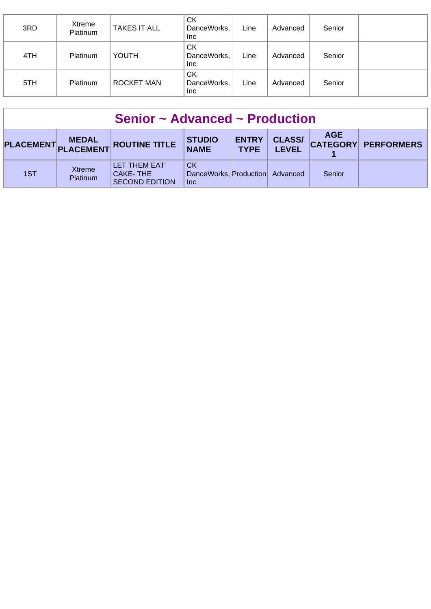| 3RD | Xtreme<br>Platinum | <b>TAKES IT ALL</b> | СK<br>DanceWorks,<br>Inc        | Line | Advanced | Senior |  |
|-----|--------------------|---------------------|---------------------------------|------|----------|--------|--|
| 4TH | <b>Platinum</b>    | <b>YOUTH</b>        | СK<br>DanceWorks,<br>Inc.       | Line | Advanced | Senior |  |
| 5TH | Platinum           | <b>ROCKET MAN</b>   | СK<br>DanceWorks,<br><b>Inc</b> | Line | Advanced | Senior |  |

| Senior $\sim$ Advanced $\sim$ Production |                           |                                                   |                                                            |                             |                               |            |                     |  |
|------------------------------------------|---------------------------|---------------------------------------------------|------------------------------------------------------------|-----------------------------|-------------------------------|------------|---------------------|--|
|                                          |                           | PLACEMENT MEDAL ROUTINE TITLE                     | <b>STUDIO</b><br><b>NAME</b>                               | <b>ENTRY</b><br><b>TYPE</b> | <b>CLASS/</b><br><b>LEVEL</b> | <b>AGE</b> | CATEGORY PERFORMERS |  |
| 1ST                                      | <b>Xtreme</b><br>Platinum | LET THEM EAT<br>CAKE-THE<br><b>SECOND EDITION</b> | <b>CK</b><br>DanceWorks, Production Advanced<br><b>Inc</b> |                             |                               | Senior     |                     |  |